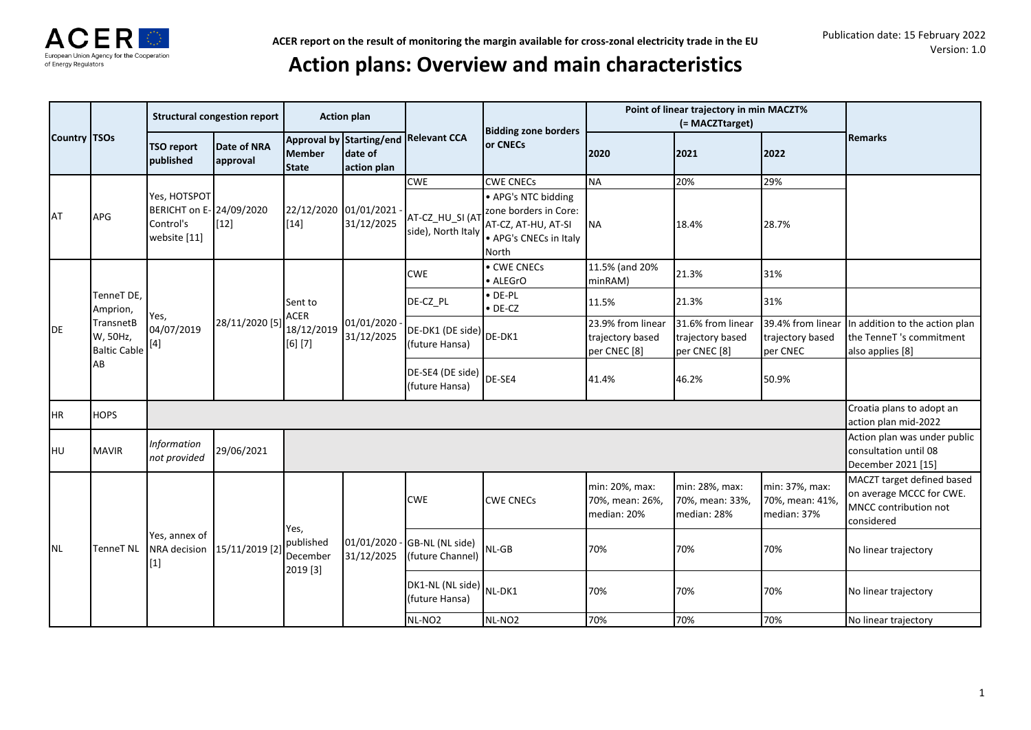

# **Action plans: Overview and main characteristics**

|                                                                   |                                           |                                                                       | <b>Structural congestion report</b> |                                   | <b>Action plan</b>                                 |                                           |                                                                                                        |                                                                  | Point of linear trajectory in min MACZT%<br>(= MACZTtarget)      |                                                   |                                                                                               |
|-------------------------------------------------------------------|-------------------------------------------|-----------------------------------------------------------------------|-------------------------------------|-----------------------------------|----------------------------------------------------|-------------------------------------------|--------------------------------------------------------------------------------------------------------|------------------------------------------------------------------|------------------------------------------------------------------|---------------------------------------------------|-----------------------------------------------------------------------------------------------|
| Country TSOs                                                      |                                           | <b>TSO report</b><br>published                                        | Date of NRA<br>approval             | <b>Member</b><br><b>State</b>     | Approval by Starting/end<br>date of<br>action plan | <b>Relevant CCA</b>                       | <b>Bidding zone borders</b><br><b>lor CNECs</b>                                                        | 2020                                                             | 2021                                                             | 2022                                              | <b>Remarks</b>                                                                                |
|                                                                   |                                           |                                                                       |                                     |                                   |                                                    | <b>CWE</b>                                | <b>CWE CNECs</b>                                                                                       | <b>NA</b>                                                        | 20%                                                              | 29%                                               |                                                                                               |
| <b>AT</b>                                                         | <b>APG</b>                                | Yes, HOTSPOT<br>BERICHT on E- 24/09/2020<br>Control's<br>website [11] | $[12]$                              | $[14]$                            | 22/12/2020 01/01/2021<br>31/12/2025                | AT-CZ_HU_SI (AT<br>side), North Italy     | • APG's NTC bidding<br>zone borders in Core:<br>AT-CZ, AT-HU, AT-SI<br>• APG's CNECs in Italy<br>North | <b>NA</b>                                                        | 18.4%                                                            | 28.7%                                             |                                                                                               |
|                                                                   |                                           |                                                                       |                                     |                                   |                                                    | <b>CWE</b>                                | • CWE CNECs<br>• ALEGrO                                                                                | 11.5% (and 20%<br>minRAM)                                        | 21.3%                                                            | 31%                                               |                                                                                               |
|                                                                   | TenneT DE,<br>Amprion,                    |                                                                       |                                     | Sent to<br><b>ACER</b>            |                                                    | DE-CZ PL                                  | $\bullet$ DE-PL<br>$\bullet$ DE-CZ                                                                     | 11.5%                                                            | 21.3%                                                            | 31%                                               |                                                                                               |
| DE<br>AB<br><b>HR</b><br><b>HOPS</b><br><b>HU</b><br><b>MAVIR</b> | TransnetB<br>W, 50Hz,<br>Baltic Cable [4] | Yes,<br>04/07/2019                                                    | 28/11/2020 [5]                      | 18/12/2019<br>[6] [7]             | 01/01/2020<br>31/12/2025                           | DE-DK1 (DE side) DE-DK1<br>(future Hansa) |                                                                                                        | 23.9% from linear<br>trajectory based<br>per CNEC <sup>[8]</sup> | 31.6% from linear<br>trajectory based<br>per CNEC <sup>[8]</sup> | 39.4% from linear<br>trajectory based<br>per CNEC | In addition to the action plan<br>the TenneT's commitment<br>also applies [8]                 |
|                                                                   |                                           |                                                                       |                                     |                                   |                                                    | DE-SE4 (DE side) DE-SE4<br>(future Hansa) |                                                                                                        | 41.4%                                                            | 46.2%                                                            | 50.9%                                             |                                                                                               |
|                                                                   |                                           |                                                                       |                                     |                                   |                                                    |                                           |                                                                                                        |                                                                  |                                                                  |                                                   | Croatia plans to adopt an<br>action plan mid-2022                                             |
|                                                                   |                                           | <b>Information</b><br>not provided                                    | 29/06/2021                          |                                   |                                                    |                                           |                                                                                                        |                                                                  |                                                                  |                                                   | Action plan was under public<br>consultation until 08<br>December 2021 [15]                   |
|                                                                   |                                           |                                                                       |                                     | Yes,                              |                                                    | <b>CWE</b>                                | <b>CWE CNECs</b>                                                                                       | min: 20%, max:<br>70%, mean: 26%,<br>median: 20%                 | min: 28%, max:<br>70%, mean: 33%,<br>median: 28%                 | min: 37%, max:<br>70%, mean: 41%<br>median: 37%   | MACZT target defined based<br>on average MCCC for CWE.<br>MNCC contribution not<br>considered |
| <b>NL</b>                                                         | TenneT NL                                 | Yes, annex of<br>NRA decision<br>$[1]$                                | 15/11/2019 [2                       | published<br>December<br>2019 [3] | 01/01/2020<br>31/12/2025                           | GB-NL (NL side)<br>(future Channel)       | NL-GB                                                                                                  | 70%                                                              | 70%                                                              | 70%                                               | No linear trajectory                                                                          |
|                                                                   |                                           |                                                                       |                                     |                                   |                                                    | DK1-NL (NL side) NL-DK1<br>(future Hansa) |                                                                                                        | 70%                                                              | 70%                                                              | 70%                                               | No linear trajectory                                                                          |
|                                                                   |                                           |                                                                       |                                     |                                   |                                                    | NL-NO <sub>2</sub>                        | NL-NO <sub>2</sub>                                                                                     | 70%                                                              | 70%                                                              | 70%                                               | No linear trajectory                                                                          |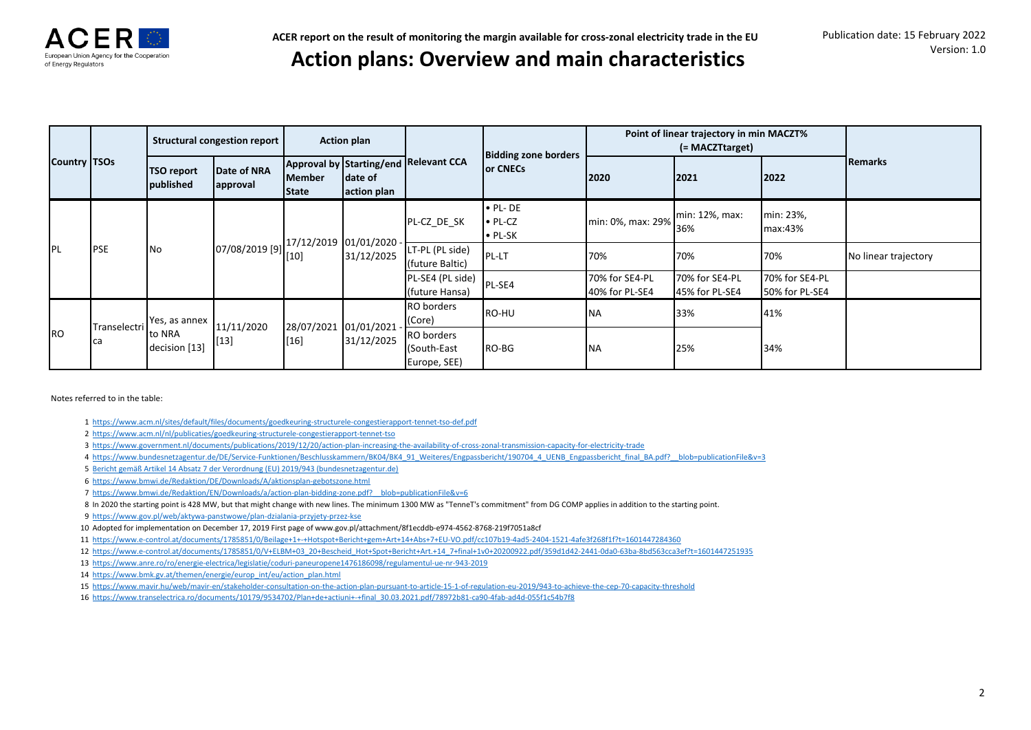

## **Action plans: Overview and main characteristics**

|                     |              |                                | Structural congestion report |                        | <b>Action plan</b>     |                                           | <b>Bidding zone borders</b>                           |                                  | Point of linear trajectory in min MACZT%<br>(= MACZTtarget) |                                  |                      |
|---------------------|--------------|--------------------------------|------------------------------|------------------------|------------------------|-------------------------------------------|-------------------------------------------------------|----------------------------------|-------------------------------------------------------------|----------------------------------|----------------------|
| <b>Country TSOs</b> |              | <b>TSO report</b><br>published | Date of NRA<br>approval      | <b>Member</b><br>State | date of<br>action plan | Approval by Starting/end Relevant CCA     | <b>Or CNECs</b>                                       | 2020                             | 2021                                                        | 2022                             | Remarks              |
| PL                  |              |                                |                              |                        |                        | PL-CZ DE SK                               | $\bullet$ PL-DE<br>$\bullet$ PL-CZ<br>$\bullet$ PL-SK | min: 0%, max: 29%                | min: 12%, max:<br>36%                                       | min: 23%,<br>max:43%             |                      |
|                     | <b>PSE</b>   | <b>No</b>                      | $[07/08/2019 [9]\n^{27}$     | 17/12/2019 01/01/2020  | 31/12/2025             | LT-PL (PL side)<br>(future Baltic)        | PL-LT                                                 | 70%                              | 70%                                                         | 70%                              | No linear trajectory |
|                     |              |                                |                              |                        |                        | PL-SE4 (PL side)<br>(future Hansa)        | PL-SE4                                                | 70% for SE4-PL<br>40% for PL-SE4 | 70% for SE4-PL<br>45% for PL-SE4                            | 70% for SE4-PL<br>50% for PL-SE4 |                      |
|                     | Transelectri | Yes, as annex                  | 11/11/2020                   |                        | 28/07/2021 01/01/2021  | RO borders<br>(Core)                      | RO-HU                                                 | <b>NA</b>                        | 33%                                                         | 41%                              |                      |
| <b>I</b> RO         | <b>I</b> ca  | to NRA<br>decision [13]        | $[13]$                       | [16]                   | 31/12/2025             | RO borders<br>(South-East<br>Europe, SEE) | RO-BG                                                 | <b>NA</b>                        | 25%                                                         | 34%                              |                      |

Notes referred to in the table:

- 1 <https://www.acm.nl/sites/default/files/documents/goedkeuring-structurele-congestierapport-tennet-tso-def.pdf>
- 2 <https://www.acm.nl/nl/publicaties/goedkeuring-structurele-congestierapport-tennet-tso>
- 3 <https://www.government.nl/documents/publications/2019/12/20/action-plan-increasing-the-availability-of-cross-zonal-transmission-capacity-for-electricity-trade>
- 4 [https://www.bundesnetzagentur.de/DE/Service-Funktionen/Beschlusskammern/BK04/BK4\\_91\\_Weiteres/Engpassbericht/190704\\_4\\_UENB\\_Engpassbericht\\_final\\_BA.pdf?\\_\\_blob=publicationFile&v=3](https://www.bundesnetzagentur.de/DE/Service-Funktionen/Beschlusskammern/BK04/BK4_91_Weiteres/Engpassbericht/190704_4_UENB_Engpassbericht_final_BA.pdf?__blob=publicationFile&v=3)
- 5 Bericht gemäß Artikel 14 Absatz 7 der Verordnung (EU) 2019/943 (bundesnetzagentur.de)
- 6 <https://www.bmwi.de/Redaktion/DE/Downloads/A/aktionsplan-gebotszone.html>
- 7 [https://www.bmwi.de/Redaktion/EN/Downloads/a/action-plan-bidding-zone.pdf?\\_\\_blob=publicationFile&v=6](https://www.bmwi.de/Redaktion/EN/Downloads/a/action-plan-bidding-zone.pdf?__blob=publicationFile&v=6)
- 8 In 2020 the starting point is 428 MW, but that might change with new lines. The minimum 1300 MW as "TenneT's commitment" from DG COMP applies in addition to the starting point.
- 9 <https://www.gov.pl/web/aktywa-panstwowe/plan-dzialania-przyjety-przez-kse>
- 10 Adopted for implementation on December 17, 2019 First page of www.gov.pl/attachment/8f1ecddb-e974-4562-8768-219f7051a8cf
- 11 <https://www.e-control.at/documents/1785851/0/Beilage+1+-+Hotspot+Bericht+gem+Art+14+Abs+7+EU-VO.pdf/cc107b19-4ad5-2404-1521-4afe3f268f1f?t=1601447284360>
- 12 [https://www.e-control.at/documents/1785851/0/V+ELBM+03\\_20+Bescheid\\_Hot+Spot+Bericht+Art.+14\\_7+final+1v0+20200922.pdf/359d1d42-2441-0da0-63ba-8bd563cca3ef?t=1601447251935](https://www.e-control.at/documents/1785851/0/V+ELBM+03_20+Bescheid_Hot+Spot+Bericht+Art.+14_7+final+1v0+20200922.pdf/359d1d42-2441-0da0-63ba-8bd563cca3ef?t=1601447251935)
- 13 <https://www.anre.ro/ro/energie-electrica/legislatie/coduri-paneuropene1476186098/regulamentul-ue-nr-943-2019>
- 14 [https://www.bmk.gv.at/themen/energie/europ\\_int/eu/action\\_plan.html](https://www.bmk.gv.at/themen/energie/europ_int/eu/action_plan.html)
- 15 <https://www.mavir.hu/web/mavir-en/stakeholder-consultation-on-the-action-plan-pursuant-to-article-15-1-of-regulation-eu-2019/943-to-achieve-the-cep-70-capacity-threshold>
- 16 [https://www.transelectrica.ro/documents/10179/9534702/Plan+de+actiuni+-+final\\_30.03.2021.pdf/78972b81-ca90-4fab-ad4d-055f1c54b7f8](https://www.transelectrica.ro/documents/10179/9534702/Plan+de+actiuni+-+final_30.03.2021.pdf/78972b81-ca90-4fab-ad4d-055f1c54b7f8)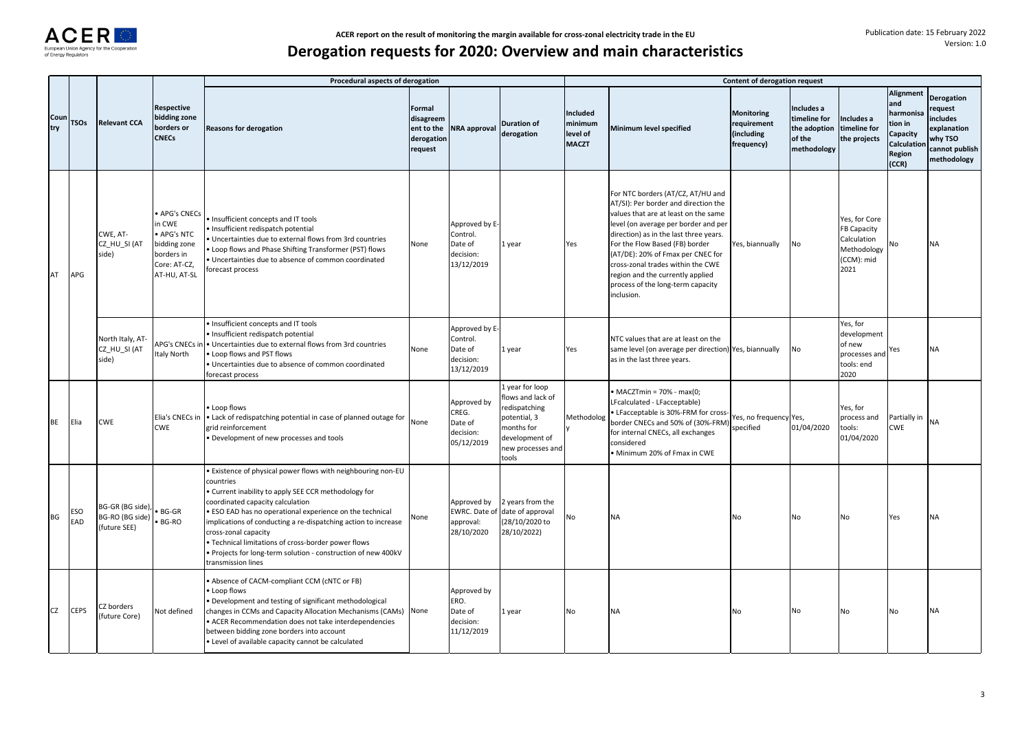

|             |                   |                                                     |                                                                                                    | Procedural aspects of derogation                                                                                                                                                                                                                                                                                                                                                                                                                                        |                                                            |                                                                  |                                                                                                                                 |                                                        |                                                                                                                                                                                                                                                                                                                                                                                                        | <b>Content of derogation request</b>                         |                                                                     |                                                                                         |                                                                                                              |                                                                                                     |
|-------------|-------------------|-----------------------------------------------------|----------------------------------------------------------------------------------------------------|-------------------------------------------------------------------------------------------------------------------------------------------------------------------------------------------------------------------------------------------------------------------------------------------------------------------------------------------------------------------------------------------------------------------------------------------------------------------------|------------------------------------------------------------|------------------------------------------------------------------|---------------------------------------------------------------------------------------------------------------------------------|--------------------------------------------------------|--------------------------------------------------------------------------------------------------------------------------------------------------------------------------------------------------------------------------------------------------------------------------------------------------------------------------------------------------------------------------------------------------------|--------------------------------------------------------------|---------------------------------------------------------------------|-----------------------------------------------------------------------------------------|--------------------------------------------------------------------------------------------------------------|-----------------------------------------------------------------------------------------------------|
| Coun<br>try | <b>TSOs</b>       | <b>Relevant CCA</b>                                 | Respective<br>bidding zone<br>borders or<br><b>CNECs</b>                                           | <b>Reasons for derogation</b>                                                                                                                                                                                                                                                                                                                                                                                                                                           | Formal<br>disagreem<br>ent to the<br>derogation<br>request | <b>NRA</b> approval                                              | <b>Duration of</b><br>derogation                                                                                                | <b>Included</b><br>minimum<br>level of<br><b>MACZT</b> | Minimum level specified                                                                                                                                                                                                                                                                                                                                                                                | <b>Monitoring</b><br>requirement<br>(including<br>frequency) | Includes a<br>timeline for<br>the adoption<br>of the<br>methodology | Includes a<br>timeline for<br>the projects                                              | <b>Alignment</b><br>and<br>harmonisa<br>t <b>ion in</b><br>Capacity<br><b>Calculation</b><br>Region<br>(CCR) | <b>Derogation</b><br>request<br>includes<br>explanation<br>why TSO<br>cannot publish<br>methodology |
| AT          | <b>APG</b>        | CWE, AT-<br>CZ HU SI (AT<br>side)                   | APG's CNECs<br>in CWE<br>· APG's NTC<br>bidding zone<br>borders in<br>Core: AT-CZ,<br>AT-HU, AT-SL | Insufficient concepts and IT tools<br>· Insufficient redispatch potential<br>Uncertainties due to external flows from 3rd countries<br>. Loop flows and Phase Shifting Transformer (PST) flows<br>· Uncertainties due to absence of common coordinated<br>forecast process                                                                                                                                                                                              | None                                                       | Approved by E-<br>Control.<br>Date of<br>decision:<br>13/12/2019 | L year                                                                                                                          | Yes                                                    | For NTC borders (AT/CZ, AT/HU and<br>AT/SI): Per border and direction the<br>values that are at least on the same<br>level (on average per border and per<br>direction) as in the last three years.<br>For the Flow Based (FB) border<br>(AT/DE): 20% of Fmax per CNEC for<br>cross-zonal trades within the CWE<br>region and the currently applied<br>process of the long-term capacity<br>inclusion. | Yes, biannually                                              | No                                                                  | Yes, for Core<br><b>FB Capacity</b><br>Calculation<br>Methodology<br>(CCM): mid<br>2021 | No                                                                                                           | <b>NA</b>                                                                                           |
|             |                   | North Italy, AT-<br>CZ HU SI (AT<br>side)           | APG's CNECs in<br>Italy North                                                                      | · Insufficient concepts and IT tools<br>· Insufficient redispatch potential<br>• Uncertainties due to external flows from 3rd countries<br>. Loop flows and PST flows<br>· Uncertainties due to absence of common coordinated<br>forecast process                                                                                                                                                                                                                       | None                                                       | Approved by E-<br>Control.<br>Date of<br>decision:<br>13/12/2019 | l year                                                                                                                          | Yes                                                    | NTC values that are at least on the<br>same level (on average per direction) Yes, biannually<br>as in the last three years.                                                                                                                                                                                                                                                                            |                                                              | No                                                                  | Yes, for<br>development<br>of new<br>processes and<br>tools: end<br>2020                | Yes                                                                                                          | <b>NA</b>                                                                                           |
| BE          | Elia              | <b>CWE</b>                                          | Elia's CNECs in<br><b>CWE</b>                                                                      | • Loop flows<br>. Lack of redispatching potential in case of planned outage for<br>grid reinforcement<br>Development of new processes and tools                                                                                                                                                                                                                                                                                                                         | None                                                       | Approved by<br>CREG.<br>Date of<br>decision:<br>05/12/2019       | vear for loop<br>lows and lack of<br>edispatching<br>potential, 3<br>months for<br>development of<br>new processes and<br>tools | Methodolog                                             | MACZTmin = 70% - max(0;<br>LFcalculated - LFacceptable)<br>LFacceptable is 30%-FRM for cross-<br>border CNECs and 50% of (30%-FRM)<br>for internal CNECs, all exchanges<br>considered<br>· Minimum 20% of Fmax in CWE                                                                                                                                                                                  | Yes, no frequency Yes,<br>specified                          | 01/04/2020                                                          | Yes, for<br>process and<br>tools:<br>01/04/2020                                         | Partially in NA<br><b>CWE</b>                                                                                |                                                                                                     |
| BG          | <b>ESO</b><br>EAD | BG-GR (BG side),<br>BG-RO (BG side)<br>(future SEE) | <b>BG-GR</b><br>BG-RO                                                                              | . Existence of physical power flows with neighbouring non-EU<br>countries<br>. Current inability to apply SEE CCR methodology for<br>coordinated capacity calculation<br>· ESO EAD has no operational experience on the technical<br>implications of conducting a re-dispatching action to increase<br>cross-zonal capacity<br>· Technical limitations of cross-border power flows<br>Projects for long-term solution - construction of new 400kV<br>transmission lines | None                                                       | Approved by<br>EWRC. Date of<br>approval:<br>28/10/2020          | 2 years from the<br>date of approval<br>(28/10/2020 to<br>28/10/2022)                                                           | No                                                     | <b>NA</b>                                                                                                                                                                                                                                                                                                                                                                                              | No                                                           | <b>No</b>                                                           | No                                                                                      | Yes                                                                                                          | <b>NA</b>                                                                                           |
| CZ          | <b>CEPS</b>       | CZ borders<br>(future Core)                         | Not defined                                                                                        | Absence of CACM-compliant CCM (cNTC or FB)<br>Loop flows<br>Development and testing of significant methodological<br>changes in CCMs and Capacity Allocation Mechanisms (CAMs) None<br>• ACER Recommendation does not take interdependencies<br>between bidding zone borders into account<br>· Level of available capacity cannot be calculated                                                                                                                         |                                                            | Approved by<br>ERO.<br>Date of<br>decision:<br>11/12/2019        | l year                                                                                                                          | No                                                     | <b>NA</b>                                                                                                                                                                                                                                                                                                                                                                                              | No                                                           | No                                                                  | No                                                                                      | No                                                                                                           |                                                                                                     |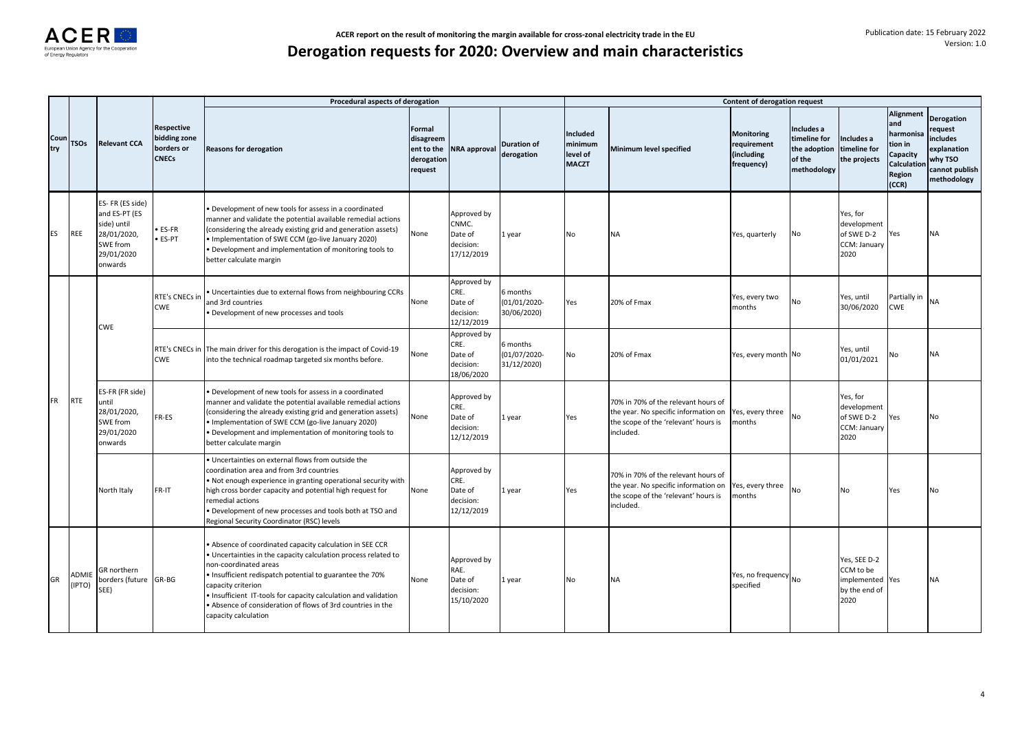|             |                 |                                                                                                             |                                                                 | Procedural aspects of derogation                                                                                                                                                                                                                                                                                                                                                          |                                              |                                                            |                                         |                                                 |                                                                                                                                  | Content of derogation request                                |                                                                     |                                                                   |                                                                                        |                                                                                                            |
|-------------|-----------------|-------------------------------------------------------------------------------------------------------------|-----------------------------------------------------------------|-------------------------------------------------------------------------------------------------------------------------------------------------------------------------------------------------------------------------------------------------------------------------------------------------------------------------------------------------------------------------------------------|----------------------------------------------|------------------------------------------------------------|-----------------------------------------|-------------------------------------------------|----------------------------------------------------------------------------------------------------------------------------------|--------------------------------------------------------------|---------------------------------------------------------------------|-------------------------------------------------------------------|----------------------------------------------------------------------------------------|------------------------------------------------------------------------------------------------------------|
| Cour<br>try | <b>TSOs</b>     | <b>Relevant CCA</b>                                                                                         | <b>Respective</b><br>bidding zone<br>borders or<br><b>CNECs</b> | <b>Reasons for derogation</b>                                                                                                                                                                                                                                                                                                                                                             | Formal<br>disagreem<br>derogation<br>request | ent to the NRA approval                                    | <b>Duration of</b><br>derogation        | Included<br>minimum<br>level of<br><b>MACZT</b> | Minimum level specified                                                                                                          | <b>Monitoring</b><br>requirement<br>(including<br>frequency) | Includes a<br>timeline for<br>the adoption<br>of the<br>methodology | Includes a<br>timeline for<br>the projects                        | Alignment<br>and<br>harmonisa<br>tion in<br>Capacity<br>Calculation<br>Region<br>(CCR) | <b>Derogation</b><br>request<br><i>includes</i><br>explanation<br>why TSO<br>cannot publish<br>methodology |
| <b>ES</b>   | <b>REE</b>      | ES- FR (ES side)<br>and ES-PT (ES<br>side) until<br>28/01/2020,<br><b>SWE from</b><br>29/01/2020<br>onwards | ES-FR<br>ES-PT                                                  | Development of new tools for assess in a coordinated<br>manner and validate the potential available remedial actions<br>(considering the already existing grid and generation assets)<br>• Implementation of SWE CCM (go-live January 2020)<br>· Development and implementation of monitoring tools to<br>better calculate margin                                                         | None                                         | Approved by<br>CNMC.<br>Date of<br>decision:<br>17/12/2019 | 1 year                                  | No                                              | <b>NA</b>                                                                                                                        | Yes, quarterly                                               | No                                                                  | Yes, for<br>development<br>of SWE D-2<br>CCM: January<br>2020     | Yes                                                                                    | <b>NA</b>                                                                                                  |
| <b>FR</b>   |                 | <b>CWE</b>                                                                                                  | RTE's CNECs ir<br><b>CWE</b>                                    | Uncertainties due to external flows from neighbouring CCRs<br>and 3rd countries<br>Development of new processes and tools                                                                                                                                                                                                                                                                 | None                                         | Approved by<br>CRE.<br>Date of<br>decision:<br>12/12/2019  | 6 months<br>(01/01/2020-<br>30/06/2020) | Yes                                             | 20% of Fmax                                                                                                                      | Yes, every two<br>months                                     | No                                                                  | Yes, until<br>30/06/2020                                          | Partially in<br>CWE                                                                    | <b>NA</b>                                                                                                  |
|             |                 |                                                                                                             | <b>CWE</b>                                                      | RTE's CNECs in The main driver for this derogation is the impact of Covid-19<br>into the technical roadmap targeted six months before.                                                                                                                                                                                                                                                    | None                                         | Approved by<br>CRE.<br>Date of<br>decision:<br>18/06/2020  | 6 months<br>(01/07/2020-<br>31/12/2020) | No                                              | 20% of Fmax                                                                                                                      | Yes, every month No                                          |                                                                     | Yes, until<br>01/01/2021                                          | No                                                                                     | NA                                                                                                         |
|             | <b>RTE</b>      | ES-FR (FR side)<br>until<br>28/01/2020,<br>SWE from<br>29/01/2020<br>onwards                                | FR-ES                                                           | Development of new tools for assess in a coordinated<br>manner and validate the potential available remedial actions<br>(considering the already existing grid and generation assets)<br>• Implementation of SWE CCM (go-live January 2020)<br>Development and implementation of monitoring tools to<br>better calculate margin                                                           | None                                         | Approved by<br>CRE.<br>Date of<br>decision:<br>12/12/2019  | 1 year                                  | Yes                                             | 70% in 70% of the relevant hours of<br>the year. No specific information on<br>the scope of the 'relevant' hours is<br>included. | Yes, every three<br>months                                   | No                                                                  | Yes, for<br>development<br>of SWE D-2<br>CCM: January<br>2020     | Yes                                                                                    | No                                                                                                         |
|             |                 | North Italy                                                                                                 | FR-IT                                                           | Uncertainties on external flows from outside the<br>coordination area and from 3rd countries<br>. Not enough experience in granting operational security with<br>high cross border capacity and potential high request for<br>remedial actions<br>Development of new processes and tools both at TSO and<br>Regional Security Coordinator (RSC) levels                                    | None                                         | Approved by<br>CRE.<br>Date of<br>decision:<br>12/12/2019  | 1 year                                  | Yes                                             | 70% in 70% of the relevant hours of<br>the year. No specific information on<br>the scope of the 'relevant' hours is<br>included. | Yes, every three<br>months                                   | No                                                                  | No                                                                | Yes                                                                                    | N٥                                                                                                         |
| GR          | ADMIE<br>(IPTO) | GR northern<br>borders (future GR-BG<br>SEE)                                                                |                                                                 | Absence of coordinated capacity calculation in SEE CCR<br>Uncertainties in the capacity calculation process related to<br>non-coordinated areas<br>· Insufficient redispatch potential to guarantee the 70%<br>capacity criterion<br>. Insufficient IT-tools for capacity calculation and validation<br>Absence of consideration of flows of 3rd countries in the<br>capacity calculation | None                                         | Approved by<br>RAE.<br>Date of<br>decision:<br>15/10/2020  | 1 year                                  | No                                              | <b>NA</b>                                                                                                                        | Yes, no frequency No<br>specified                            |                                                                     | Yes, SEE D-2<br>CCM to be<br>implemented<br>by the end of<br>2020 | Yes                                                                                    | <b>NA</b>                                                                                                  |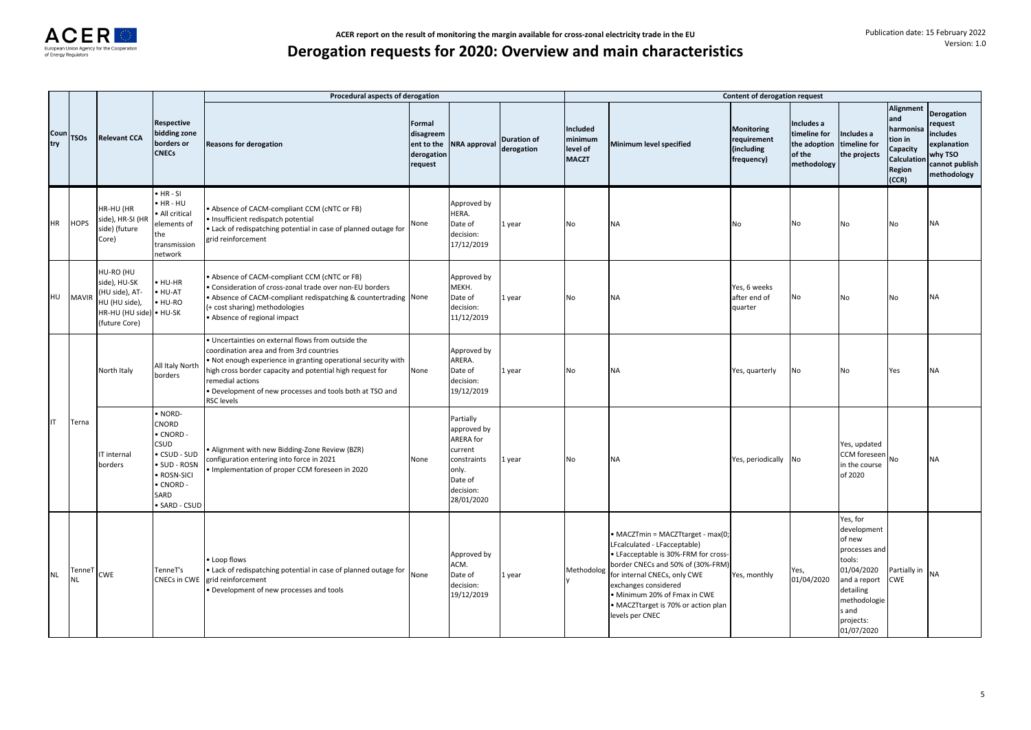|             |              |                                                                                                  |                                                                                                              | Procedural aspects of derogation                                                                                                                                                                                                                                                                                            |                                                            |                                                                                                                |                                  |                                                 |                                                                                                                                                                                                                                                                                                  | Content of derogation request                                |                                                                     |                                                                                                                                                             |                                                                                               |                                                                                              |
|-------------|--------------|--------------------------------------------------------------------------------------------------|--------------------------------------------------------------------------------------------------------------|-----------------------------------------------------------------------------------------------------------------------------------------------------------------------------------------------------------------------------------------------------------------------------------------------------------------------------|------------------------------------------------------------|----------------------------------------------------------------------------------------------------------------|----------------------------------|-------------------------------------------------|--------------------------------------------------------------------------------------------------------------------------------------------------------------------------------------------------------------------------------------------------------------------------------------------------|--------------------------------------------------------------|---------------------------------------------------------------------|-------------------------------------------------------------------------------------------------------------------------------------------------------------|-----------------------------------------------------------------------------------------------|----------------------------------------------------------------------------------------------|
| Coun<br>try | <b>TSOs</b>  | <b>Relevant CCA</b>                                                                              | <b>Respective</b><br>bidding zone<br>borders or<br><b>CNECs</b>                                              | <b>Reasons for derogation</b>                                                                                                                                                                                                                                                                                               | Formal<br>disagreem<br>ent to the<br>derogation<br>request | NRA approval                                                                                                   | <b>Duration of</b><br>derogation | Included<br>minimum<br>level of<br><b>MACZT</b> | Minimum level specified                                                                                                                                                                                                                                                                          | <b>Monitoring</b><br>requirement<br>(including<br>frequency) | Includes a<br>timeline for<br>the adoption<br>of the<br>methodology | Includes a<br>timeline for<br>the projects                                                                                                                  | <b>Alignment</b><br>and<br>harmonisa<br>tion in<br>Capacity<br>Calculation<br>Region<br>(CCR) | Derogation<br>request<br>includes<br>explanation<br>why TSO<br>cannot publish<br>methodology |
| HR          | <b>HOPS</b>  | HR-HU (HR<br>side), HR-SI (HR<br>side) (future<br>Core)                                          | $-HR-SI$<br>HR-HU<br>All critical<br>elements of<br>the<br>transmission<br>network                           | Absence of CACM-compliant CCM (cNTC or FB)<br>Insufficient redispatch potential<br>Lack of redispatching potential in case of planned outage for<br>grid reinforcement                                                                                                                                                      | None                                                       | Approved by<br>HERA.<br>Date of<br>decision:<br>17/12/2019                                                     | l year                           | No                                              | <b>NA</b>                                                                                                                                                                                                                                                                                        | No                                                           | No                                                                  | No                                                                                                                                                          | No                                                                                            | NA                                                                                           |
| HU          | <b>MAVIR</b> | HU-RO (HU<br>side), HU-SK<br>(HU side), AT-<br>HU (HU side),<br>HR-HU (HU side)<br>(future Core) | HU-HR<br>HU-AT<br>HU-RO<br>• HU-SK                                                                           | Absence of CACM-compliant CCM (cNTC or FB)<br>Consideration of cross-zonal trade over non-EU borders<br>. Absence of CACM-compliant redispatching & countertrading None<br>(+ cost sharing) methodologies<br>• Absence of regional impact                                                                                   |                                                            | Approved by<br>MEKH.<br>Date of<br>decision:<br>11/12/2019                                                     | l year                           | No                                              | <b>NA</b>                                                                                                                                                                                                                                                                                        | Yes, 6 weeks<br>after end of<br>quarter                      | No                                                                  | No                                                                                                                                                          | No                                                                                            | ΝA                                                                                           |
|             |              | North Italy                                                                                      | All Italy North<br>borders                                                                                   | Uncertainties on external flows from outside the<br>coordination area and from 3rd countries<br>Not enough experience in granting operational security with<br>high cross border capacity and potential high request for<br>remedial actions<br>Development of new processes and tools both at TSO and<br><b>RSC levels</b> | None                                                       | Approved by<br>ARERA.<br>Date of<br>decision:<br>19/12/2019                                                    | l year                           | No                                              | <b>NA</b>                                                                                                                                                                                                                                                                                        | Yes, quarterly                                               | No                                                                  | No                                                                                                                                                          | Yes                                                                                           | NΑ                                                                                           |
| IT          | Terna        | IT internal<br>borders                                                                           | NORD-<br>CNORD<br>CNORD -<br>CSUD<br>CSUD - SUD<br>SUD - ROSN<br>ROSN-SICI<br>CNORD -<br>SARD<br>SARD - CSUD | Alignment with new Bidding-Zone Review (BZR)<br>configuration entering into force in 2021<br>Implementation of proper CCM foreseen in 2020                                                                                                                                                                                  | None                                                       | Partially<br>approved by<br>ARERA for<br>current<br>constraints<br>only.<br>Date of<br>decision:<br>28/01/2020 | l year                           | No                                              | <b>NA</b>                                                                                                                                                                                                                                                                                        | Yes, periodically No                                         |                                                                     | Yes, updated<br>CCM foreseen<br>in the course<br>of 2020                                                                                                    | No                                                                                            | ΝA                                                                                           |
| <b>NL</b>   | TenneT<br>ΝL | <b>CWE</b>                                                                                       | TenneT's<br><b>CNECs in CWE</b>                                                                              | Loop flows<br>• Lack of redispatching potential in case of planned outage for None<br>grid reinforcement<br>Development of new processes and tools                                                                                                                                                                          |                                                            | Approved by<br>ACM.<br>Date of<br>decision:<br>19/12/2019                                                      | l year                           | Methodolog                                      | · MACZTmin = MACZTtarget - max(0;<br>LFcalculated - LFacceptable)<br>• LFacceptable is 30%-FRM for cross-<br>border CNECs and 50% of (30%-FRM)<br>for internal CNECs, only CWE<br>exchanges considered<br>• Minimum 20% of Fmax in CWE<br>• MACZTtarget is 70% or action plan<br>levels per CNEC | Yes, monthly                                                 | Yes,<br>01/04/2020                                                  | Yes, for<br>development<br>of new<br>processes and<br>tools:<br>01/04/2020<br>and a report<br>detailing<br>methodologie<br>s and<br>projects:<br>01/07/2020 | Partially in<br><b>CWE</b>                                                                    | NA                                                                                           |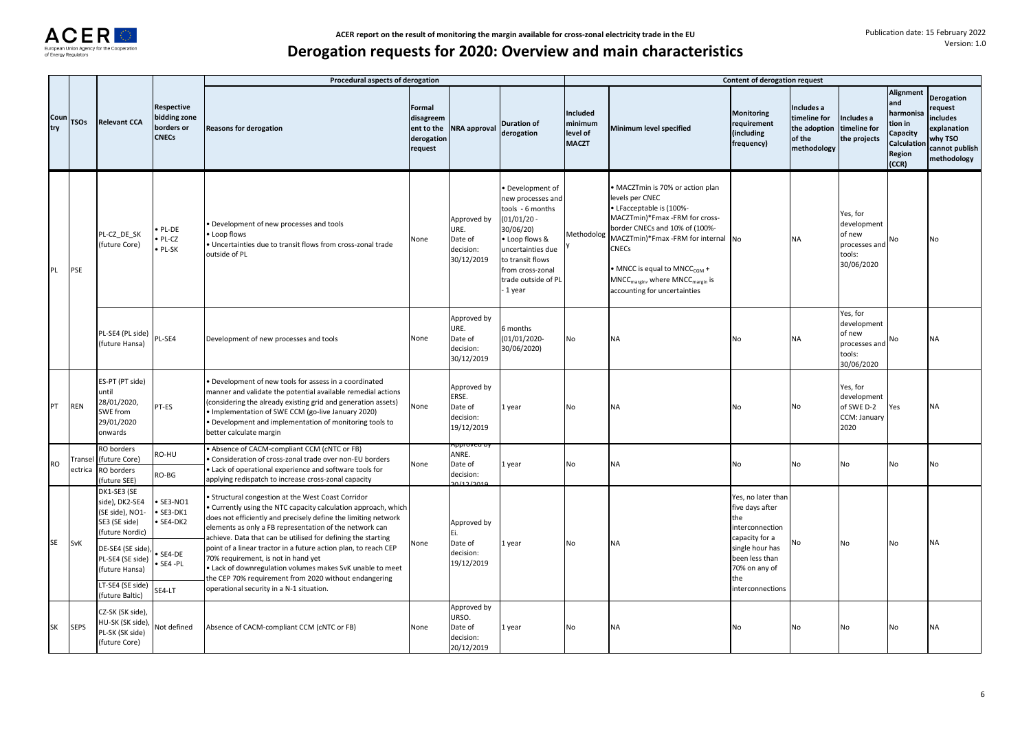

|             |                    |                                                                                                                                                                    |                                                                 | Procedural aspects of derogation                                                                                                                                                                                                                                                                                                                                                                                                                                                                                                                                                        |                                                                   |                                                            |                                                                                                                                                                                                    |                                                        |                                                                                                                                                                                                                                                                                                                                                    | <b>Content of derogation request</b>                                                                                                                               |                                                                     |                                                                            |                                                                                        |                                                                                                     |
|-------------|--------------------|--------------------------------------------------------------------------------------------------------------------------------------------------------------------|-----------------------------------------------------------------|-----------------------------------------------------------------------------------------------------------------------------------------------------------------------------------------------------------------------------------------------------------------------------------------------------------------------------------------------------------------------------------------------------------------------------------------------------------------------------------------------------------------------------------------------------------------------------------------|-------------------------------------------------------------------|------------------------------------------------------------|----------------------------------------------------------------------------------------------------------------------------------------------------------------------------------------------------|--------------------------------------------------------|----------------------------------------------------------------------------------------------------------------------------------------------------------------------------------------------------------------------------------------------------------------------------------------------------------------------------------------------------|--------------------------------------------------------------------------------------------------------------------------------------------------------------------|---------------------------------------------------------------------|----------------------------------------------------------------------------|----------------------------------------------------------------------------------------|-----------------------------------------------------------------------------------------------------|
| Cour<br>try | <b>TSOs</b>        | <b>Relevant CCA</b>                                                                                                                                                | <b>Respective</b><br>bidding zone<br>borders or<br><b>CNECs</b> | <b>Reasons for derogation</b>                                                                                                                                                                                                                                                                                                                                                                                                                                                                                                                                                           | <b>Formal</b><br>disagreem<br>ent to the<br>derogation<br>request | <b>NRA</b> approval                                        | <b>Duration of</b><br>derogation                                                                                                                                                                   | <b>Included</b><br>minimum<br>level of<br><b>MACZT</b> | Minimum level specified                                                                                                                                                                                                                                                                                                                            | <b>Monitoring</b><br>requirement<br>(including<br>frequency)                                                                                                       | Includes a<br>timeline for<br>the adoption<br>of the<br>methodology | Includes a<br>timeline for<br>the projects                                 | Alignment<br>and<br>harmonisa<br>tion in<br>Capacity<br>Calculation<br>Region<br>(CCR) | <b>Derogation</b><br>request<br>includes<br>explanation<br>why TSO<br>cannot publish<br>methodology |
| PL          | PSE                | PL-CZ DE SK<br>(future Core)                                                                                                                                       | PL-DE<br>PL-CZ<br>PL-SK                                         | Development of new processes and tools<br>Loop flows<br>Uncertainties due to transit flows from cross-zonal trade<br>outside of PL                                                                                                                                                                                                                                                                                                                                                                                                                                                      | None                                                              | Approved by<br>URE.<br>Date of<br>decision:<br>30/12/2019  | Development of<br>new processes and<br>tools - 6 months<br>$01/01/20$ -<br>30/06/20)<br>Loop flows &<br>uncertainties due<br>to transit flows<br>from cross-zonal<br>trade outside of PL<br>1 year | Methodolog                                             | • MACZTmin is 70% or action plan<br>levels per CNEC<br>• LFacceptable is (100%-<br>MACZTmin)*Fmax -FRM for cross-<br>border CNECs and 10% of (100%-<br>MACZTmin)*Fmax -FRM for internal No<br><b>CNECs</b><br>• MNCC is equal to MNCC <sub>CGM</sub> +<br>MNCC <sub>margin</sub> , where MNCC <sub>margin</sub> is<br>accounting for uncertainties |                                                                                                                                                                    | <b>NA</b>                                                           | Yes, for<br>development<br>of new<br>processes and<br>tools:<br>30/06/2020 | No                                                                                     | <b>No</b>                                                                                           |
|             |                    | PL-SE4 (PL side)<br>(future Hansa)                                                                                                                                 | PL-SE4                                                          | Development of new processes and tools                                                                                                                                                                                                                                                                                                                                                                                                                                                                                                                                                  | None                                                              | Approved by<br>URE.<br>Date of<br>decision:<br>30/12/2019  | 6 months<br>(01/01/2020-<br>30/06/2020)                                                                                                                                                            | No                                                     | <b>NA</b>                                                                                                                                                                                                                                                                                                                                          | No                                                                                                                                                                 | <b>NA</b>                                                           | Yes, for<br>development<br>of new<br>processes and<br>tools:<br>30/06/2020 | No                                                                                     | ΝA                                                                                                  |
| PT          | <b>REN</b>         | ES-PT (PT side)<br>until<br>28/01/2020,<br>SWE from<br>29/01/2020<br>onwards                                                                                       | PT-ES                                                           | Development of new tools for assess in a coordinated<br>manner and validate the potential available remedial actions<br>(considering the already existing grid and generation assets)<br>Implementation of SWE CCM (go-live January 2020)<br>Development and implementation of monitoring tools to<br>better calculate margin                                                                                                                                                                                                                                                           | None                                                              | Approved by<br>ERSE.<br>Date of<br>decision:<br>19/12/2019 | year                                                                                                                                                                                               | No                                                     | <b>NA</b>                                                                                                                                                                                                                                                                                                                                          | <b>No</b>                                                                                                                                                          | No                                                                  | Yes, for<br>development<br>of SWE D-2<br>CCM: January<br>2020              | Yes                                                                                    | <b>NA</b>                                                                                           |
| <b>RO</b>   | Transel<br>ectrica | RO borders<br>(future Core)<br>RO borders<br>(future SEE)                                                                                                          | RO-HU<br>RO-BG                                                  | Absence of CACM-compliant CCM (cNTC or FB)<br>Consideration of cross-zonal trade over non-EU borders<br>Lack of operational experience and software tools for<br>applying redispatch to increase cross-zonal capacity                                                                                                                                                                                                                                                                                                                                                                   | None                                                              | ANRE.<br>Date of<br>decision:                              | vear                                                                                                                                                                                               | No                                                     | <b>NA</b>                                                                                                                                                                                                                                                                                                                                          | No                                                                                                                                                                 | No                                                                  | No                                                                         | No                                                                                     | No                                                                                                  |
| SE          | SvK                | DK1-SE3 (SE<br>side), DK2-SE4<br>(SE side), NO1-<br>SE3 (SE side)<br>(future Nordic)<br>DE-SE4 (SE side)<br>PL-SE4 (SE side)<br>(future Hansa)<br>LT-SE4 (SE side) | SE3-NO1<br>SE3-DK1<br>SE4-DK2<br>SE4-DE<br>SE4-PL<br>SE4-LT     | Structural congestion at the West Coast Corridor<br>Currently using the NTC capacity calculation approach, which<br>does not efficiently and precisely define the limiting network<br>elements as only a FB representation of the network can<br>achieve. Data that can be utilised for defining the starting<br>point of a linear tractor in a future action plan, to reach CEP<br>70% requirement, is not in hand yet<br>Lack of downregulation volumes makes SvK unable to meet<br>the CEP 70% requirement from 2020 without endangering<br>operational security in a N-1 situation. | None                                                              | Approved by<br>Ei.<br>Date of<br>decision:<br>19/12/2019   | year                                                                                                                                                                                               | No                                                     | <b>NA</b>                                                                                                                                                                                                                                                                                                                                          | Yes, no later than<br>five days after<br>the<br>interconnection<br>capacity for a<br>single hour has<br>been less than<br>70% on any of<br>the<br>interconnections | No                                                                  | No                                                                         | No                                                                                     | <b>NA</b>                                                                                           |
| SK          | <b>SEPS</b>        | (future Baltic)<br>CZ-SK (SK side),<br>HU-SK (SK side),<br>PL-SK (SK side)<br>(future Core)                                                                        | Not defined                                                     | Absence of CACM-compliant CCM (cNTC or FB)                                                                                                                                                                                                                                                                                                                                                                                                                                                                                                                                              | None                                                              | Approved by<br>URSO.<br>Date of<br>decision:<br>20/12/2019 | year                                                                                                                                                                                               | No                                                     | <b>NA</b>                                                                                                                                                                                                                                                                                                                                          | No                                                                                                                                                                 | No                                                                  | No                                                                         | No                                                                                     | ΝA                                                                                                  |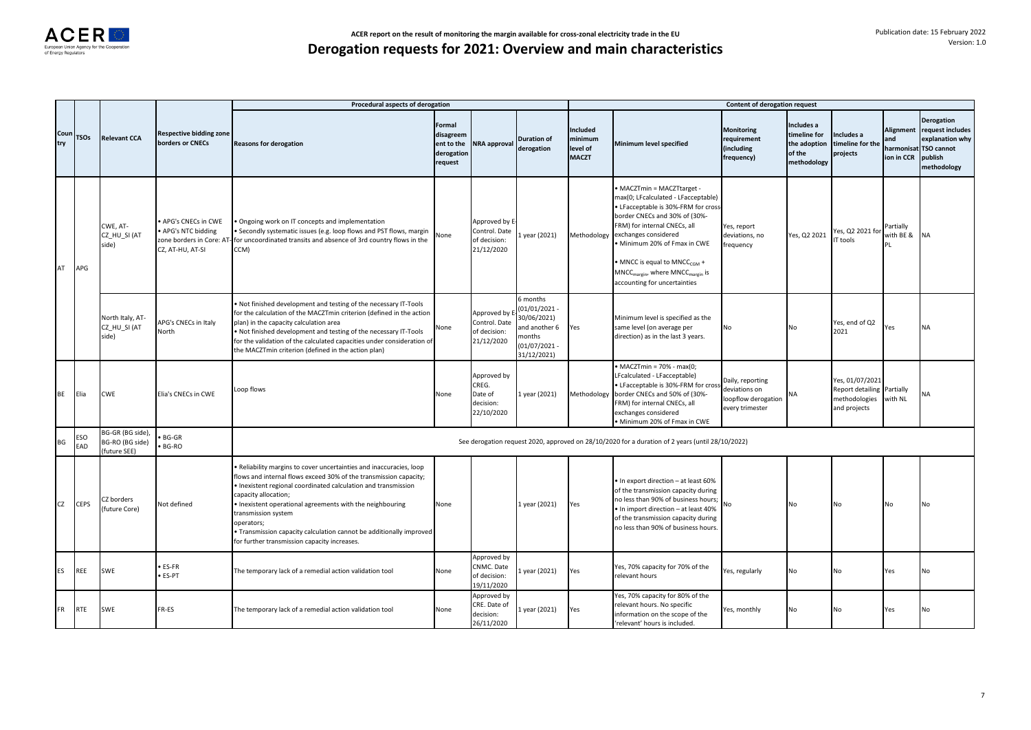|             |             |                                                     |                                                             | Procedural aspects of derogation                                                                                                                                                                                                                                                                                                                                                                                                                   |                                                                   |                                                              |                                                                                                  |                                                 |                                                                                                                                                                                                                                                                                                                                                                     | Content of derogation request                                               |                                                                     |                                                                             |                                              |                                                                                                         |
|-------------|-------------|-----------------------------------------------------|-------------------------------------------------------------|----------------------------------------------------------------------------------------------------------------------------------------------------------------------------------------------------------------------------------------------------------------------------------------------------------------------------------------------------------------------------------------------------------------------------------------------------|-------------------------------------------------------------------|--------------------------------------------------------------|--------------------------------------------------------------------------------------------------|-------------------------------------------------|---------------------------------------------------------------------------------------------------------------------------------------------------------------------------------------------------------------------------------------------------------------------------------------------------------------------------------------------------------------------|-----------------------------------------------------------------------------|---------------------------------------------------------------------|-----------------------------------------------------------------------------|----------------------------------------------|---------------------------------------------------------------------------------------------------------|
| Coun<br>try | <b>TSOs</b> | <b>Relevant CCA</b>                                 | <b>Respective bidding zone</b><br>borders or CNECs          | <b>Reasons for derogation</b>                                                                                                                                                                                                                                                                                                                                                                                                                      | <b>Formal</b><br>disagreem<br>ent to the<br>derogation<br>request | <b>NRA approval</b>                                          | <b>Duration of</b><br>derogation                                                                 | Included<br>minimum<br>level of<br><b>MACZT</b> | Minimum level specified                                                                                                                                                                                                                                                                                                                                             | <b>Monitoring</b><br>requirement<br>(including<br>frequency)                | Includes a<br>timeline for<br>the adoption<br>of the<br>methodology | ncludes a<br>timeline for the<br>projects                                   | Alignment<br>and<br>harmonisat<br>ion in CCR | <b>Derogation</b><br>request includes<br>explanation why<br><b>TSO cannot</b><br>publish<br>methodology |
| AT          | APG         | CWE. AT-<br>CZ HU SI (AT<br>side)                   | APG's CNECs in CWE<br>APG's NTC bidding<br>CZ, AT-HU, AT-SI | Ongoing work on IT concepts and implementation<br>Secondly systematic issues (e.g. loop flows and PST flows, margin<br>zone borders in Core: AT- for uncoordinated transits and absence of 3rd country flows in the<br>CCM)                                                                                                                                                                                                                        | Vone                                                              | Approved by E<br>Control. Date<br>of decision:<br>21/12/2020 | year (2021)                                                                                      | Methodology                                     | MACZTmin = MACZTtarget -<br>max(0; LFcalculated - LFacceptable)<br>· LFacceptable is 30%-FRM for cross<br>border CNECs and 30% of (30%-<br>FRM) for internal CNECs, all<br>exchanges considered<br>Minimum 20% of Fmax in CWE<br>MNCC is equal to MNCC <sub>CGM</sub> +<br>MNCC <sub>margin</sub> , where MNCC <sub>margin</sub> is<br>accounting for uncertainties | Yes, report<br>deviations, no<br>frequency                                  | Yes, Q2 2021                                                        | Yes, Q2 2021 for<br>T tools                                                 | Partially<br>with BE &<br>ÞΙ                 | <b>NA</b>                                                                                               |
|             |             | North Italy, AT-<br>CZ HU SI (AT<br>side)           | APG's CNECs in Italy<br>North                               | Not finished development and testing of the necessary IT-Tools<br>for the calculation of the MACZTmin criterion (defined in the action<br>plan) in the capacity calculation area<br>Not finished development and testing of the necessary IT-Tools<br>for the validation of the calculated capacities under consideration of<br>the MACZTmin criterion (defined in the action plan)                                                                | Vone                                                              | Approved by E<br>Control. Date<br>of decision:<br>21/12/2020 | months<br>01/01/2021<br>30/06/2021)<br>and another 6<br>nonths<br>$(01/07/2021 -$<br>31/12/2021) | Yes                                             | Minimum level is specified as the<br>same level (on average per<br>direction) as in the last 3 years.                                                                                                                                                                                                                                                               | No                                                                          | No                                                                  | Yes, end of Q2<br>2021                                                      | Yes                                          | <b>NA</b>                                                                                               |
| <b>BE</b>   | Elia        | <b>CWE</b>                                          | Elia's CNECs in CWE                                         | Loop flows                                                                                                                                                                                                                                                                                                                                                                                                                                         | Vone                                                              | Approved by<br>CREG.<br>Date of<br>decision:<br>22/10/2020   | 1 year (2021)                                                                                    | Methodology                                     | $\bullet$ MACZTmin = 70% - max(0:<br>LFcalculated - LFacceptable)<br>· LFacceptable is 30%-FRM for cros<br>border CNECs and 50% of (30%-<br>FRM) for internal CNECs, all<br>exchanges considered<br>Minimum 20% of Fmax in CWE                                                                                                                                      | Daily, reporting<br>deviations on<br>loopflow derogation<br>every trimester | NA                                                                  | Yes, 01/07/2021<br><b>Report detailing</b><br>methodologies<br>and projects | Partially<br>with NL                         | NΔ                                                                                                      |
| BG          | ESO<br>EAD  | BG-GR (BG side),<br>BG-RO (BG side)<br>(future SEE) | <b>BG-GR</b><br>BG-RO                                       |                                                                                                                                                                                                                                                                                                                                                                                                                                                    |                                                                   |                                                              |                                                                                                  |                                                 | See derogation request 2020, approved on 28/10/2020 for a duration of 2 years (until 28/10/2022)                                                                                                                                                                                                                                                                    |                                                                             |                                                                     |                                                                             |                                              |                                                                                                         |
| CZ          | <b>CEPS</b> | CZ borders<br>(future Core)                         | Not defined                                                 | Reliability margins to cover uncertainties and inaccuracies, loop<br>lows and internal flows exceed 30% of the transmission capacity;<br>Inexistent regional coordinated calculation and transmission<br>capacity allocation;<br>Inexistent operational agreements with the neighbouring<br>transmission system<br>operators;<br>Transmission capacity calculation cannot be additionally improved<br>for further transmission capacity increases. | None                                                              |                                                              | 1 year (2021)                                                                                    | Yes                                             | . In export direction - at least 60%<br>of the transmission capacity during<br>no less than 90% of business hours;<br>• In import direction - at least 40%<br>of the transmission capacity during<br>no less than 90% of business hours.                                                                                                                            | No                                                                          | No                                                                  | No                                                                          | No                                           | No                                                                                                      |
| ES          | REE         | SWE                                                 | ES-FR<br>ES-PT                                              | The temporary lack of a remedial action validation tool                                                                                                                                                                                                                                                                                                                                                                                            | Vone                                                              | Approved by<br>CNMC. Date<br>of decision:<br>19/11/2020      | year (2021)                                                                                      | Yes                                             | Yes, 70% capacity for 70% of the<br>relevant hours                                                                                                                                                                                                                                                                                                                  | Yes, regularly                                                              | No                                                                  | No                                                                          | Yes                                          | No                                                                                                      |
| FR          | <b>RTE</b>  | SWE                                                 | FR-ES                                                       | The temporary lack of a remedial action validation tool                                                                                                                                                                                                                                                                                                                                                                                            | None                                                              | Approved by<br>CRE. Date of<br>decision:<br>26/11/2020       | Lyear (2021)                                                                                     | Yes                                             | Yes, 70% capacity for 80% of the<br>relevant hours. No specific<br>information on the scope of the<br>'relevant' hours is included.                                                                                                                                                                                                                                 | Yes, monthly                                                                | No                                                                  | No                                                                          | Yes                                          | No                                                                                                      |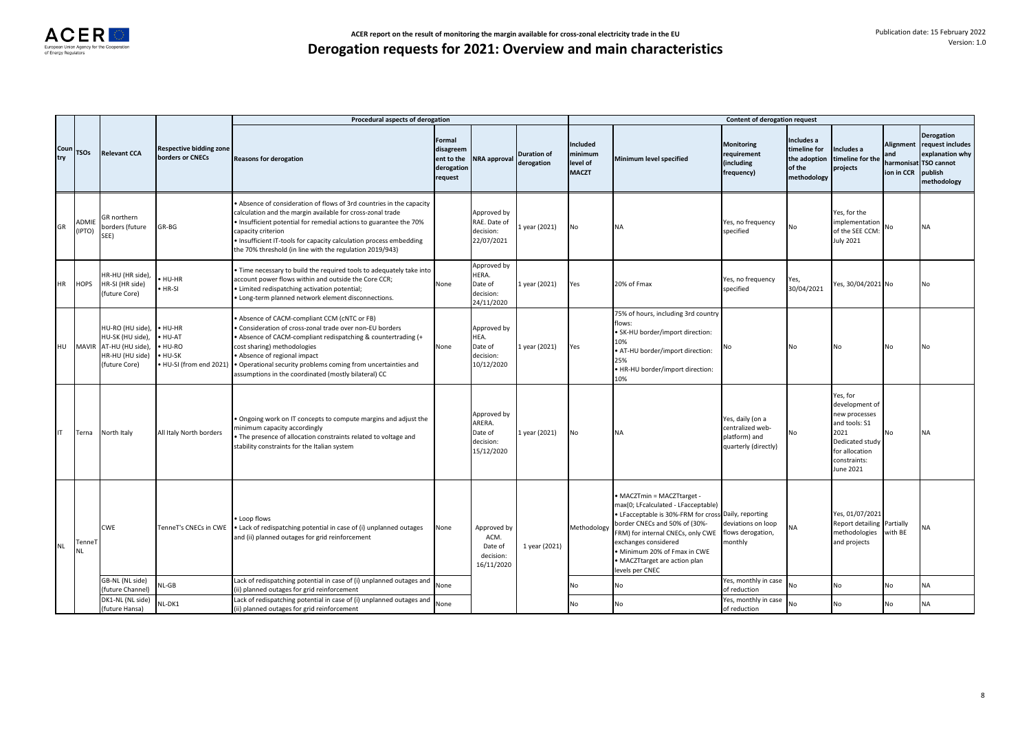|             |                 |                                                                                              |                                                           | Procedural aspects of derogation                                                                                                                                                                                                                                                                                                                               |                                                            |                                                             |                                  |                                                        |                                                                                                                                                                                                                                                                                                            | Content of derogation request                                                 |                                                                     |                                                                                                                                        |                                       |                                                                                                      |
|-------------|-----------------|----------------------------------------------------------------------------------------------|-----------------------------------------------------------|----------------------------------------------------------------------------------------------------------------------------------------------------------------------------------------------------------------------------------------------------------------------------------------------------------------------------------------------------------------|------------------------------------------------------------|-------------------------------------------------------------|----------------------------------|--------------------------------------------------------|------------------------------------------------------------------------------------------------------------------------------------------------------------------------------------------------------------------------------------------------------------------------------------------------------------|-------------------------------------------------------------------------------|---------------------------------------------------------------------|----------------------------------------------------------------------------------------------------------------------------------------|---------------------------------------|------------------------------------------------------------------------------------------------------|
| Coun<br>try | <b>TSOs</b>     | <b>Relevant CCA</b>                                                                          | <b>Respective bidding zone</b><br>borders or CNECs        | <b>Reasons for derogation</b>                                                                                                                                                                                                                                                                                                                                  | Formal<br>disagreem<br>ent to the<br>derogation<br>request | <b>NRA approval</b>                                         | <b>Duration of</b><br>derogation | <b>Included</b><br>minimum<br>level of<br><b>MACZT</b> | Minimum level specified                                                                                                                                                                                                                                                                                    | <b>Monitoring</b><br>requirement<br>(including<br>frequency)                  | Includes a<br>timeline for<br>the adoption<br>of the<br>methodology | Includes a<br>timeline for the<br>projects                                                                                             | <b>Alignment</b><br>and<br>ion in CCR | Derogation<br>request includes<br>explanation why<br>harmonisat TSO cannot<br>publish<br>methodology |
| GR          | ADMIE<br>(IPTO) | GR northern<br>borders (future<br>SEE)                                                       | $GR-BG$                                                   | Absence of consideration of flows of 3rd countries in the capacity<br>calculation and the margin available for cross-zonal trade<br>. Insufficient potential for remedial actions to guarantee the 70%<br>capacity criterion<br>. Insufficient IT-tools for capacity calculation process embedding<br>the 70% threshold (in line with the regulation 2019/943) |                                                            | Approved by<br>RAE. Date of<br>decision:<br>22/07/2021      | 1 year (2021)                    | No                                                     | <b>NA</b>                                                                                                                                                                                                                                                                                                  | Yes, no frequency<br>specified                                                | No                                                                  | Yes, for the<br>implementation<br>of the SEE CCM:<br><b>July 2021</b>                                                                  | No                                    | <b>NA</b>                                                                                            |
| <b>HR</b>   | <b>HOPS</b>     | HR-HU (HR side),<br>HR-SI (HR side)<br>(future Core)                                         | HU-HR<br>HR-SI                                            | Time necessary to build the required tools to adequately take into<br>account power flows within and outside the Core CCR;<br>Limited redispatching activation potential;<br>· Long-term planned network element disconnections.                                                                                                                               | None                                                       | Approved by<br>HERA.<br>Date of<br>decision:<br>24/11/2020  | 1 year (2021)                    | Yes                                                    | 20% of Fmax                                                                                                                                                                                                                                                                                                | Yes, no frequency<br>specified                                                | Yes,<br>30/04/2021                                                  | es, 30/04/2021 No                                                                                                                      |                                       | No                                                                                                   |
| HU          | <b>MAVIR</b>    | HU-RO (HU side),<br>HU-SK (HU side),<br>AT-HU (HU side),<br>HR-HU (HU side)<br>(future Core) | HU-HR<br>HU-AT<br>HU-RO<br>HU-SK<br>HU-SI (from end 2021) | Absence of CACM-compliant CCM (cNTC or FB)<br>Consideration of cross-zonal trade over non-EU borders<br>Absence of CACM-compliant redispatching & countertrading (+<br>cost sharing) methodologies<br>Absence of regional impact<br>. Operational security problems coming from uncertainties and<br>assumptions in the coordinated (mostly bilateral) CC      | None                                                       | Approved by<br>HEA.<br>Date of<br>decision:<br>10/12/2020   | 1 year (2021)                    | Yes                                                    | 75% of hours, including 3rd country<br>flows:<br>· SK-HU border/import direction:<br>10%<br>· AT-HU border/import direction:<br>25%<br>· HR-HU border/import direction:<br>10%                                                                                                                             | No                                                                            | No                                                                  | No                                                                                                                                     | No                                    | No                                                                                                   |
| IT          | Terna           | North Italy                                                                                  | All Italy North borders                                   | . Ongoing work on IT concepts to compute margins and adjust the<br>ninimum capacity accordingly<br>. The presence of allocation constraints related to voltage and<br>stability constraints for the Italian system                                                                                                                                             |                                                            | Approved by<br>ARERA.<br>Date of<br>decision:<br>15/12/2020 | 1 year (2021)                    | No                                                     | NA                                                                                                                                                                                                                                                                                                         | Yes, daily (on a<br>centralized web-<br>platform) and<br>quarterly (directly) | No                                                                  | Yes, for<br>development of<br>new processes<br>and tools: S1<br>2021<br>Dedicated study<br>for allocation<br>constraints:<br>June 2021 | No                                    | <b>NA</b>                                                                                            |
| <b>NL</b>   | TenneT<br>NL    | CWE                                                                                          | TenneT's CNECs in CWE                                     | • Loop flows<br>. Lack of redispatching potential in case of (i) unplanned outages<br>and (ii) planned outages for grid reinforcement                                                                                                                                                                                                                          | None                                                       | Approved by<br>ACM.<br>Date of<br>decision:<br>16/11/2020   | 1 year (2021)                    | Methodology                                            | · MACZTmin = MACZTtarget -<br>max(0; LFcalculated - LFacceptable)<br>· LFacceptable is 30%-FRM for cross Daily, reporting<br>border CNECs and 50% of (30%-<br>FRM) for internal CNECs, only CWE<br>exchanges considered<br>· Minimum 20% of Fmax in CWE<br>· MACZTtarget are action plan<br>evels per CNEC | deviations on loop<br>flows derogation,<br>monthly                            | NΑ                                                                  | Yes, 01/07/2021<br><b>Report detailing</b><br>methodologies<br>and projects                                                            | Partially<br>with BE                  | NA                                                                                                   |
|             |                 | GB-NL (NL side)<br>(future Channel)                                                          | $UL-GB$                                                   | Lack of redispatching potential in case of (i) unplanned outages and<br>ii) planned outages for grid reinforcement                                                                                                                                                                                                                                             | None                                                       |                                                             |                                  | No                                                     | No                                                                                                                                                                                                                                                                                                         | Yes, monthly in case<br>of reduction                                          | No                                                                  | No                                                                                                                                     | No                                    | <b>NA</b>                                                                                            |
|             |                 | DK1-NL (NL side)<br>(future Hansa)                                                           | NL-DK1                                                    | Lack of redispatching potential in case of (i) unplanned outages and<br>(ii) planned outages for grid reinforcement                                                                                                                                                                                                                                            | None                                                       |                                                             |                                  | N٥                                                     | No                                                                                                                                                                                                                                                                                                         | Yes, monthly in case<br>of reduction                                          | No                                                                  | <b>No</b>                                                                                                                              | No                                    | NA                                                                                                   |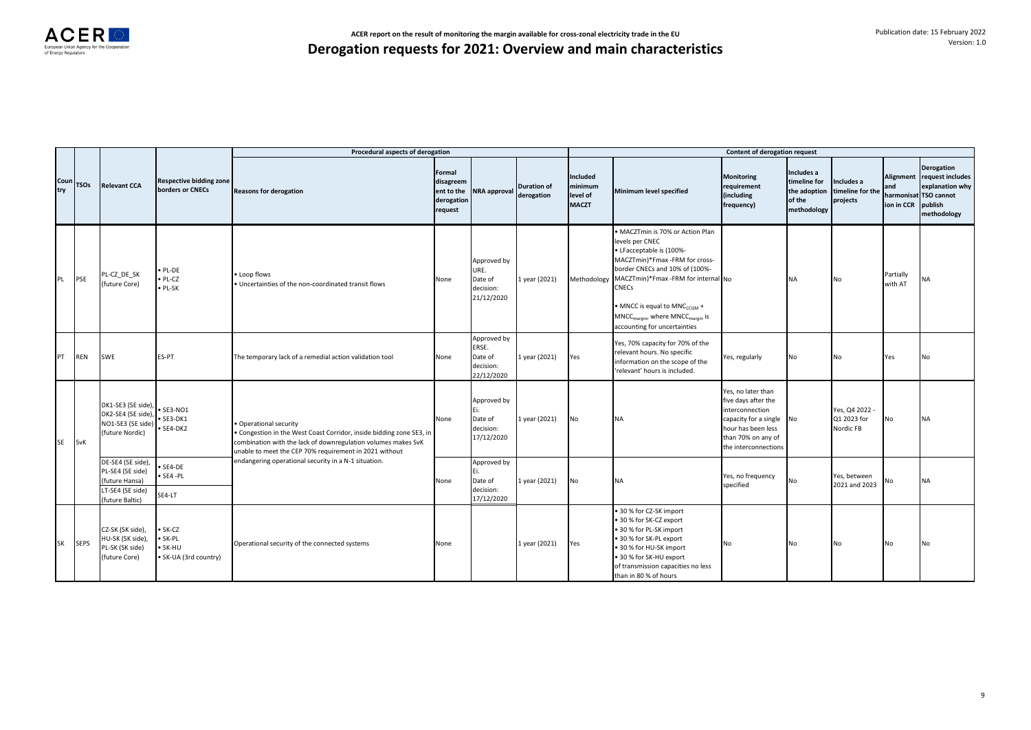

|             |             |                                                                                                |                                                    | Procedural aspects of derogation                                                                                                                                                                                        |                                                            |                                                            |                                  |                                                        |                                                                                                                                                                                                                                                                                                                                           | <b>Content of derogation request</b>                                                                                                                      |                                                                     |                                            |                                |                                                                                                             |
|-------------|-------------|------------------------------------------------------------------------------------------------|----------------------------------------------------|-------------------------------------------------------------------------------------------------------------------------------------------------------------------------------------------------------------------------|------------------------------------------------------------|------------------------------------------------------------|----------------------------------|--------------------------------------------------------|-------------------------------------------------------------------------------------------------------------------------------------------------------------------------------------------------------------------------------------------------------------------------------------------------------------------------------------------|-----------------------------------------------------------------------------------------------------------------------------------------------------------|---------------------------------------------------------------------|--------------------------------------------|--------------------------------|-------------------------------------------------------------------------------------------------------------|
| Coun<br>try | <b>TSOs</b> | <b>Relevant CCA</b>                                                                            | <b>Respective bidding zone</b><br>borders or CNECs | <b>Reasons for derogation</b>                                                                                                                                                                                           | Formal<br>disagreem<br>ent to the<br>derogation<br>request | <b>NRA</b> approval                                        | <b>Duration of</b><br>derogation | <b>Included</b><br>minimum<br>level of<br><b>MACZT</b> | Minimum level specified                                                                                                                                                                                                                                                                                                                   | <b>Monitoring</b><br>requirement<br>(including<br>frequency)                                                                                              | Includes a<br>timeline for<br>the adoption<br>of the<br>methodology | Includes a<br>timeline for the<br>projects | Alignment<br>and<br>ion in CCR | <b>Derogation</b><br>request includes<br>explanation why<br>harmonisat TSO cannot<br>publish<br>methodology |
| PL          | PSE         | PL-CZ DE SK<br>(future Core)                                                                   | PL-DE<br>PL-CZ<br>PL-SK                            | • Loop flows<br>. Uncertainties of the non-coordinated transit flows                                                                                                                                                    | None                                                       | Approved by<br>URE.<br>Date of<br>decision:<br>21/12/2020  | 1 year (2021)                    | Methodology                                            | MACZTmin is 70% or Action Plan<br>levels per CNEC<br>• LFacceptable is (100%-<br>MACZTmin)*Fmax -FRM for cross-<br>border CNECs and 10% of (100%-<br>MACZTmin)*Fmax -FRM for internal No<br>CNECs<br>• MNCC is equal to MNC <sub>CCGM</sub> +<br>MNCC <sub>margin</sub> , where MNCC <sub>margin</sub> is<br>accounting for uncertainties |                                                                                                                                                           | <b>NA</b>                                                           | No                                         | Partially<br>with AT           | <b>NA</b>                                                                                                   |
| PT          | <b>REN</b>  | SWE                                                                                            | <b>ES-PT</b>                                       | The temporary lack of a remedial action validation tool                                                                                                                                                                 | None                                                       | Approved by<br>ERSE.<br>Date of<br>decision:<br>22/12/2020 | 1 year (2021)                    | Yes                                                    | Yes, 70% capacity for 70% of the<br>relevant hours. No specific<br>information on the scope of the<br>'relevant' hours is included.                                                                                                                                                                                                       | Yes, regularly                                                                                                                                            | No                                                                  | No                                         | Yes                            | No                                                                                                          |
| <b>SE</b>   | SvK         | DK1-SE3 (SE side),<br>DK2-SE4 (SE side),<br>NO1-SE3 (SE side)<br>(future Nordic)               | SE3-NO1<br>$\bullet$ SE3-DK1<br>SE4-DK2            | · Operational security<br>Congestion in the West Coast Corridor, inside bidding zone SE3, in<br>combination with the lack of downregulation volumes makes SvK<br>unable to meet the CEP 70% requirement in 2021 without | None                                                       | Approved by<br>Date of<br>decision:<br>17/12/2020          | 1 year (2021)                    | No                                                     | <b>NA</b>                                                                                                                                                                                                                                                                                                                                 | Yes, no later than<br>five days after the<br>interconnection<br>capacity for a single<br>hour has been less<br>than 70% on any of<br>the interconnections | No                                                                  | Yes, Q4 2022 -<br>Q1 2023 for<br>Nordic FB | No                             | <b>NA</b>                                                                                                   |
|             |             | DE-SE4 (SE side),<br>PL-SE4 (SE side)<br>(future Hansa)<br>LT-SE4 (SE side)<br>(future Baltic) | SE4-DE<br>SE4-PL<br>SE4-LT                         | endangering operational security in a N-1 situation.                                                                                                                                                                    | None                                                       | Approved by<br>Date of<br>decision:<br>17/12/2020          | 1 year (2021)                    | No                                                     | <b>NA</b>                                                                                                                                                                                                                                                                                                                                 | Yes, no frequency<br>specified                                                                                                                            | No                                                                  | Yes, between<br>2021 and 2023              | No                             | <b>NA</b>                                                                                                   |
| <b>SK</b>   | <b>SEPS</b> | CZ-SK (SK side),<br>HU-SK (SK side),<br>PL-SK (SK side)<br>(future Core)                       | SK-CZ<br>· SK-PL<br>SK-HU<br>SK-UA (3rd country)   | Operational security of the connected systems                                                                                                                                                                           | None                                                       |                                                            | 1 year (2021)                    | Yes                                                    | . 30 % for CZ-SK import<br>. 30 % for SK-CZ export<br>. 30 % for PL-SK import<br>. 30 % for SK-PL export<br>. 30 % for HU-SK import<br>• 30 % for SK-HU export<br>of transmission capacities no less<br>than in 80 % of hours                                                                                                             | No                                                                                                                                                        | No                                                                  | No                                         | No                             | No                                                                                                          |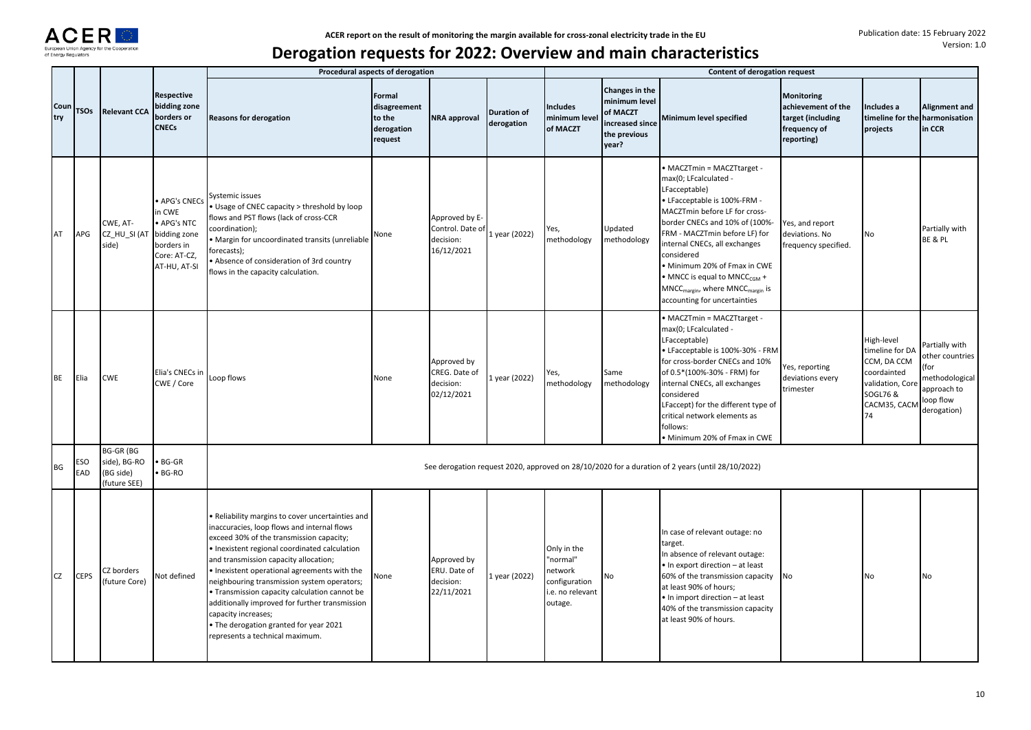

|             |                   |                                                               |                                                                                                         |                                                                                                                                                                                                                                                                                                                                                                                                                                                                                                                                      | Procedural aspects of derogation                          |                                                               |                                  |                                                                                    |                                                                                         | Content of derogation request                                                                                                                                                                                                                                                                                                                                                                                                   |                                                                                            |                                                                                                                   |                                                                                                        |
|-------------|-------------------|---------------------------------------------------------------|---------------------------------------------------------------------------------------------------------|--------------------------------------------------------------------------------------------------------------------------------------------------------------------------------------------------------------------------------------------------------------------------------------------------------------------------------------------------------------------------------------------------------------------------------------------------------------------------------------------------------------------------------------|-----------------------------------------------------------|---------------------------------------------------------------|----------------------------------|------------------------------------------------------------------------------------|-----------------------------------------------------------------------------------------|---------------------------------------------------------------------------------------------------------------------------------------------------------------------------------------------------------------------------------------------------------------------------------------------------------------------------------------------------------------------------------------------------------------------------------|--------------------------------------------------------------------------------------------|-------------------------------------------------------------------------------------------------------------------|--------------------------------------------------------------------------------------------------------|
| Coun<br>try | <b>TSOs</b>       | <b>Relevant CCA</b>                                           | Respective<br>bidding zone<br>borders or<br><b>CNECs</b>                                                | <b>Reasons for derogation</b>                                                                                                                                                                                                                                                                                                                                                                                                                                                                                                        | Formal<br>disagreement<br>to the<br>derogation<br>request | <b>NRA approval</b>                                           | <b>Duration of</b><br>derogation | <b>Includes</b><br>minimum level<br>of MACZT                                       | Changes in the<br>minimum level<br>of MACZT<br>increased since<br>the previous<br>year? | Minimum level specified                                                                                                                                                                                                                                                                                                                                                                                                         | <b>Monitoring</b><br>achievement of the<br>target (including<br>frequency of<br>reporting) | Includes a<br>projects                                                                                            | Alignment and<br>timeline for the harmonisation<br>in CCR                                              |
| AT          | APG               | CWE, AT-<br>CZ HU SI (AT<br>side)                             | <b>APG's CNECs</b><br>in CWE<br>APG's NTC<br>bidding zone<br>borders in<br>Core: AT-CZ,<br>AT-HU, AT-SI | Systemic issues<br>Usage of CNEC capacity > threshold by loop<br>flows and PST flows (lack of cross-CCR<br>coordination);<br>Margin for uncoordinated transits (unreliable<br>forecasts);<br>Absence of consideration of 3rd country<br>flows in the capacity calculation.                                                                                                                                                                                                                                                           | None                                                      | Approved by E-<br>Control. Date of<br>decision:<br>16/12/2021 | 1 year (2022)                    | Yes,<br>methodology                                                                | Updated<br>methodology                                                                  | • MACZTmin = MACZTtarget -<br>max(0; LFcalculated -<br>LFacceptable)<br>• LFacceptable is 100%-FRM -<br>MACZTmin before LF for cross-<br>border CNECs and 10% of (100%-<br>FRM - MACZTmin before LF) for<br>internal CNECs, all exchanges<br>considered<br>· Minimum 20% of Fmax in CWE<br>• MNCC is equal to MNCC <sub>CGM</sub> +<br>MNCC <sub>margin</sub> , where MNCC <sub>margin</sub> is<br>accounting for uncertainties | Yes, and report<br>deviations. No<br>frequency specified.                                  | No                                                                                                                | Partially with<br>BE & PL                                                                              |
| <b>BE</b>   | Elia              | <b>CWE</b>                                                    | Elia's CNECs in<br>CWE / Core                                                                           | Loop flows                                                                                                                                                                                                                                                                                                                                                                                                                                                                                                                           | None                                                      | Approved by<br>CREG. Date of<br>decision:<br>02/12/2021       | 1 year (2022)                    | Yes,<br>methodology                                                                | Same<br>methodology                                                                     | • MACZTmin = MACZTtarget -<br>max(0; LFcalculated -<br>LFacceptable)<br>• LFacceptable is 100%-30% - FRM<br>for cross-border CNECs and 10%<br>of 0.5*(100%-30% - FRM) for<br>internal CNECs, all exchanges<br>considered<br>LFaccept) for the different type of<br>critical network elements as<br>follows:<br>· Minimum 20% of Fmax in CWE                                                                                     | Yes, reporting<br>deviations every<br>trimester                                            | High-level<br>timeline for DA<br>CCM, DA CCM<br>coordainted<br>validation, Core<br>SOGL76 &<br>CACM35, CACM<br>74 | Partially with<br>other countries<br>(for<br>methodological<br>approach to<br>loop flow<br>derogation) |
| BG          | <b>ESO</b><br>EAD | <b>BG-GR (BG</b><br>side), BG-RO<br>(BG side)<br>(future SEE) | <b>BG-GR</b><br>BG-RO                                                                                   |                                                                                                                                                                                                                                                                                                                                                                                                                                                                                                                                      |                                                           |                                                               |                                  |                                                                                    |                                                                                         | See derogation request 2020, approved on 28/10/2020 for a duration of 2 years (until 28/10/2022)                                                                                                                                                                                                                                                                                                                                |                                                                                            |                                                                                                                   |                                                                                                        |
| <b>CZ</b>   | <b>CEPS</b>       | CZ borders<br>(future Core)                                   | <b>Not defined</b>                                                                                      | Reliability margins to cover uncertainties and<br>naccuracies, loop flows and internal flows<br>exceed 30% of the transmission capacity;<br>· Inexistent regional coordinated calculation<br>and transmission capacity allocation;<br>· Inexistent operational agreements with the<br>neighbouring transmission system operators;<br>Transmission capacity calculation cannot be<br>additionally improved for further transmission<br>capacity increases;<br>The derogation granted for year 2021<br>represents a technical maximum. | Vone                                                      | Approved by<br>ERU. Date of<br>decision:<br>22/11/2021        | 1 year (2022)                    | Only in the<br>"normal"<br>network<br>configuration<br>i.e. no relevant<br>outage. | No                                                                                      | In case of relevant outage: no<br>target.<br>In absence of relevant outage:<br>• In export direction - at least<br>60% of the transmission capacity<br>at least 90% of hours;<br>• In import direction - at least<br>40% of the transmission capacity<br>at least 90% of hours.                                                                                                                                                 | No                                                                                         | No                                                                                                                | No                                                                                                     |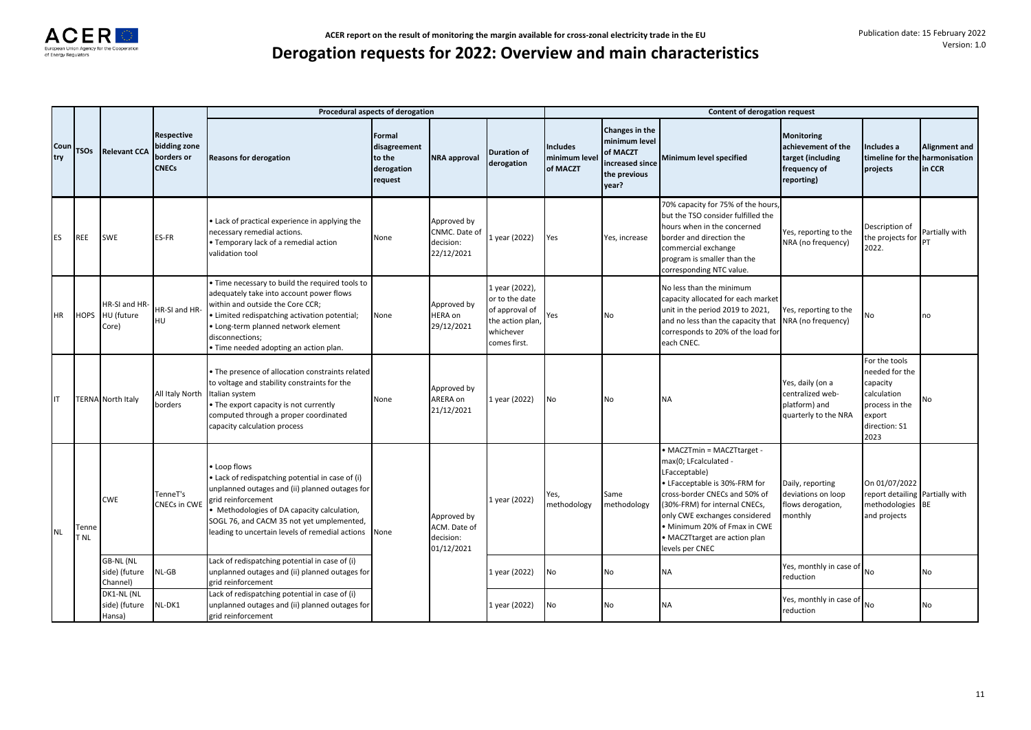|             |               |                                               |                                                                 |                                                                                                                                                                                                                                                                                   | Procedural aspects of derogation                          |                                                         |                                                                                                     |                                              |                                                                                         | Content of derogation request                                                                                                                                                                                                                                                               |                                                                                            |                                                                                                                 |                         |
|-------------|---------------|-----------------------------------------------|-----------------------------------------------------------------|-----------------------------------------------------------------------------------------------------------------------------------------------------------------------------------------------------------------------------------------------------------------------------------|-----------------------------------------------------------|---------------------------------------------------------|-----------------------------------------------------------------------------------------------------|----------------------------------------------|-----------------------------------------------------------------------------------------|---------------------------------------------------------------------------------------------------------------------------------------------------------------------------------------------------------------------------------------------------------------------------------------------|--------------------------------------------------------------------------------------------|-----------------------------------------------------------------------------------------------------------------|-------------------------|
| Coun<br>try | <b>TSOs</b>   | <b>Relevant CCA</b>                           | <b>Respective</b><br>bidding zone<br>borders or<br><b>CNECs</b> | <b>Reasons for derogation</b>                                                                                                                                                                                                                                                     | Formal<br>disagreement<br>to the<br>derogation<br>request | <b>NRA</b> approval                                     | <b>Duration of</b><br>derogation                                                                    | <b>Includes</b><br>minimum level<br>of MACZT | Changes in the<br>minimum level<br>of MACZT<br>increased since<br>the previous<br>year? | Minimum level specified                                                                                                                                                                                                                                                                     | <b>Monitoring</b><br>achievement of the<br>target (including<br>frequency of<br>reporting) | Includes a<br>timeline for the harmonisation<br>projects                                                        | Alignment and<br>in CCR |
| ES          | <b>REE</b>    | SWE                                           | ES-FR                                                           | Lack of practical experience in applying the<br>necessary remedial actions.<br>Temporary lack of a remedial action<br>validation tool                                                                                                                                             | None                                                      | Approved by<br>CNMC. Date of<br>decision:<br>22/12/2021 | 1 year (2022)                                                                                       | Yes                                          | Yes, increase                                                                           | 70% capacity for 75% of the hours,<br>but the TSO consider fulfilled the<br>hours when in the concerned<br>border and direction the<br>commercial exchange<br>program is smaller than the<br>corresponding NTC value.                                                                       | Yes, reporting to the<br>NRA (no frequency)                                                | Description of<br>the projects for<br>2022.                                                                     | Partially with          |
| ΗR          |               | HR-SI and HR-<br>HOPS HU (future<br>Core)     | HR-SI and HR-<br>HU                                             | Time necessary to build the required tools to<br>adequately take into account power flows<br>within and outside the Core CCR;<br>Limited redispatching activation potential;<br>Long-term planned network element<br>disconnections;<br>Time needed adopting an action plan.      | None                                                      | Approved by<br>HERA on<br>29/12/2021                    | 1 year (2022),<br>or to the date<br>of approval of<br>the action plan,<br>whichever<br>comes first. | Yes                                          | No                                                                                      | No less than the minimum<br>capacity allocated for each market<br>unit in the period 2019 to 2021,<br>and no less than the capacity that<br>corresponds to 20% of the load for<br>each CNEC.                                                                                                | Yes, reporting to the<br>NRA (no frequency)                                                | No                                                                                                              | no                      |
|             |               | <b>TERNA</b> North Italy                      | All Italy North<br>borders                                      | The presence of allocation constraints related<br>to voltage and stability constraints for the<br>Italian system<br>The export capacity is not currently<br>computed through a proper coordinated<br>capacity calculation process                                                 | None                                                      | Approved by<br>ARERA on<br>21/12/2021                   | 1 year (2022)                                                                                       | No                                           | <b>No</b>                                                                               | <b>NA</b>                                                                                                                                                                                                                                                                                   | Yes, daily (on a<br>centralized web-<br>platform) and<br>quarterly to the NRA              | For the tools<br>needed for the<br>capacity<br>calculation<br>process in the<br>export<br>direction: S1<br>2023 | No                      |
| <b>NL</b>   | Tenne<br>T NL | <b>CWE</b>                                    | TenneT's<br><b>CNECs in CWE</b>                                 | Loop flows<br>Lack of redispatching potential in case of (i)<br>unplanned outages and (ii) planned outages for<br>grid reinforcement<br>Methodologies of DA capacity calculation,<br>SOGL 76, and CACM 35 not yet umplemented,<br>leading to uncertain levels of remedial actions | None                                                      | Approved by<br>ACM. Date of<br>decision:<br>01/12/2021  | 1 year (2022)                                                                                       | Yes,<br>methodology                          | Same<br>methodology                                                                     | • MACZTmin = MACZTtarget -<br>max(0; LFcalculated -<br>LFacceptable)<br>• LFacceptable is 30%-FRM for<br>cross-border CNECs and 50% of<br>(30%-FRM) for internal CNECs,<br>only CWE exchanges considered<br>• Minimum 20% of Fmax in CWE<br>• MACZTtarget are action plan<br>evels per CNEC | Daily, reporting<br>deviations on loop<br>flows derogation,<br>monthly                     | On 01/07/2022<br>report detailing Partially with<br>methodologies BE<br>and projects                            |                         |
|             |               | <b>GB-NL (NL</b><br>side) (future<br>Channel) | $NL-GB$                                                         | Lack of redispatching potential in case of (i)<br>unplanned outages and (ii) planned outages for<br>grid reinforcement                                                                                                                                                            |                                                           |                                                         | 1 year (2022)                                                                                       | No                                           | No                                                                                      | <b>NA</b>                                                                                                                                                                                                                                                                                   | Yes, monthly in case of No<br>reduction                                                    |                                                                                                                 | No                      |
|             |               | DK1-NL (NL<br>side) (future<br>Hansa)         | NL-DK1                                                          | Lack of redispatching potential in case of (i)<br>unplanned outages and (ii) planned outages for<br>grid reinforcement                                                                                                                                                            |                                                           |                                                         | 1 year (2022)                                                                                       | No                                           | No                                                                                      | <b>NA</b>                                                                                                                                                                                                                                                                                   | Yes, monthly in case of<br>reduction                                                       | No                                                                                                              | No                      |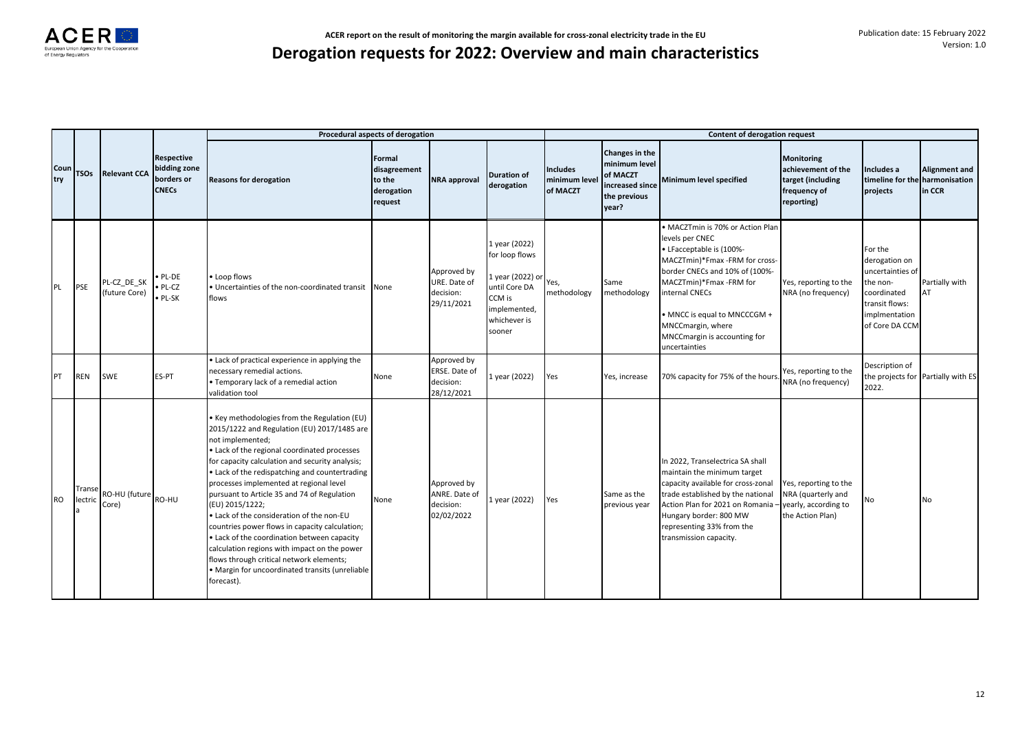|             |                   |                              |                                                                 | Procedural aspects of derogation                                                                                                                                                                                                                                                                                                                                                                                                                                                                                                                                                                                                                                                             |                                                           |                                                         |                                                                                                                          |                                              |                                                                                         | Content of derogation request                                                                                                                                                                                                                                                                          |                                                                                            |                                                                                                                             |                                    |
|-------------|-------------------|------------------------------|-----------------------------------------------------------------|----------------------------------------------------------------------------------------------------------------------------------------------------------------------------------------------------------------------------------------------------------------------------------------------------------------------------------------------------------------------------------------------------------------------------------------------------------------------------------------------------------------------------------------------------------------------------------------------------------------------------------------------------------------------------------------------|-----------------------------------------------------------|---------------------------------------------------------|--------------------------------------------------------------------------------------------------------------------------|----------------------------------------------|-----------------------------------------------------------------------------------------|--------------------------------------------------------------------------------------------------------------------------------------------------------------------------------------------------------------------------------------------------------------------------------------------------------|--------------------------------------------------------------------------------------------|-----------------------------------------------------------------------------------------------------------------------------|------------------------------------|
| Coun<br>try | <b>TSOs</b>       | <b>Relevant CCA</b>          | <b>Respective</b><br>bidding zone<br>borders or<br><b>CNECs</b> | <b>Reasons for derogation</b>                                                                                                                                                                                                                                                                                                                                                                                                                                                                                                                                                                                                                                                                | Formal<br>disagreement<br>to the<br>derogation<br>request | <b>NRA</b> approval                                     | <b>Duration of</b><br>derogation                                                                                         | <b>Includes</b><br>minimum level<br>of MACZT | Changes in the<br>minimum level<br>of MACZT<br>increased since<br>the previous<br>year? | Minimum level specified                                                                                                                                                                                                                                                                                | <b>Monitoring</b><br>achievement of the<br>target (including<br>frequency of<br>reporting) | Includes a<br>timeline for the harmonisation<br>projects                                                                    | <b>Alignment and</b><br>in CCR     |
| PL          | <b>PSE</b>        | PL-CZ_DE_SK<br>(future Core) | PL-DE<br>$\n  PL-CZ\n$<br>$\bullet$ PL-SK                       | Loop flows<br>. Uncertainties of the non-coordinated transit None<br>flows                                                                                                                                                                                                                                                                                                                                                                                                                                                                                                                                                                                                                   |                                                           | Approved by<br>URE. Date of<br>decision:<br>29/11/2021  | 1 year (2022)<br>for loop flows<br>1 year (2022) or<br>until Core DA<br>CCM is<br>implemented,<br>whichever is<br>sooner | Yes,<br>methodology                          | Same<br>methodology                                                                     | • MACZTmin is 70% or Action Plan<br>levels per CNEC<br>• LFacceptable is (100%-<br>MACZTmin)*Fmax -FRM for cross-<br>border CNECs and 10% of (100%-<br>MACZTmin)*Fmax -FRM for<br>internal CNECs<br>• MNCC is equal to MNCCCGM +<br>MNCCmargin, where<br>MNCCmargin is accounting for<br>uncertainties | Yes, reporting to the<br>NRA (no frequency)                                                | For the<br>derogation on<br>uncertainties of<br>he non-<br>coordinated<br>transit flows:<br>implmentation<br>of Core DA CCM | Partially with<br>AT               |
| PT          | <b>REN</b>        | <b>SWE</b>                   | ES-PT                                                           | . Lack of practical experience in applying the<br>necessary remedial actions.<br>• Temporary lack of a remedial action<br>validation tool                                                                                                                                                                                                                                                                                                                                                                                                                                                                                                                                                    | None                                                      | Approved by<br>ERSE. Date of<br>decision:<br>28/12/2021 | 1 year (2022)                                                                                                            | Yes                                          | Yes, increase                                                                           | 70% capacity for 75% of the hours                                                                                                                                                                                                                                                                      | Yes, reporting to the<br>NRA (no frequency)                                                | Description of<br>2022.                                                                                                     | the projects for Partially with ES |
| <b>RO</b>   | Transe<br>lectric | RO-HU (future RO-HU<br>Core) |                                                                 | . Key methodologies from the Regulation (EU)<br>2015/1222 and Regulation (EU) 2017/1485 are<br>not implemented;<br>. Lack of the regional coordinated processes<br>for capacity calculation and security analysis;<br>• Lack of the redispatching and countertrading<br>processes implemented at regional level<br>pursuant to Article 35 and 74 of Regulation<br>(EU) 2015/1222;<br>. Lack of the consideration of the non-EU<br>countries power flows in capacity calculation;<br>. Lack of the coordination between capacity<br>calculation regions with impact on the power<br>flows through critical network elements;<br>· Margin for uncoordinated transits (unreliable<br>forecast). | None                                                      | Approved by<br>ANRE. Date of<br>decision:<br>02/02/2022 | 1 year (2022)                                                                                                            | Yes                                          | Same as the<br>previous year                                                            | In 2022, Transelectrica SA shall<br>maintain the minimum target<br>capacity available for cross-zonal<br>trade established by the national<br>Action Plan for 2021 on Romania<br>Hungary border: 800 MW<br>representing 33% from the<br>transmission capacity.                                         | Yes, reporting to the<br>NRA (quarterly and<br>yearly, according to<br>the Action Plan)    | N٥                                                                                                                          | No                                 |